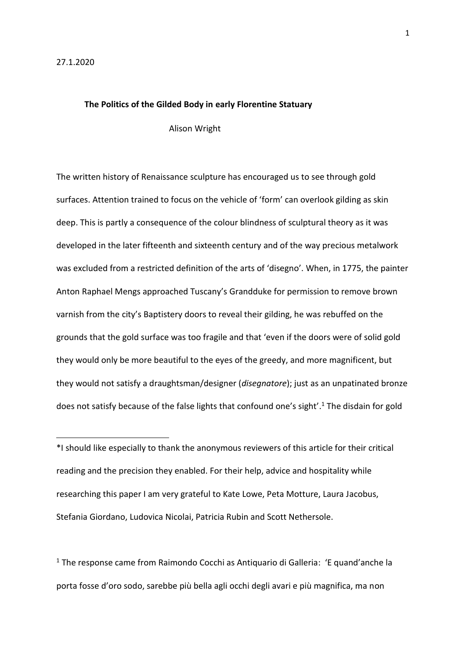$\overline{a}$ 

#### **The Politics of the Gilded Body in early Florentine Statuary**

Alison Wright

The written history of Renaissance sculpture has encouraged us to see through gold surfaces. Attention trained to focus on the vehicle of 'form' can overlook gilding as skin deep. This is partly a consequence of the colour blindness of sculptural theory as it was developed in the later fifteenth and sixteenth century and of the way precious metalwork was excluded from a restricted definition of the arts of 'disegno'. When, in 1775, the painter Anton Raphael Mengs approached Tuscany's Grandduke for permission to remove brown varnish from the city's Baptistery doors to reveal their gilding, he was rebuffed on the grounds that the gold surface was too fragile and that 'even if the doors were of solid gold they would only be more beautiful to the eyes of the greedy, and more magnificent, but they would not satisfy a draughtsman/designer (*disegnatore*); just as an unpatinated bronze does not satisfy because of the false lights that confound one's sight'. <sup>1</sup> The disdain for gold

\*I should like especially to thank the anonymous reviewers of this article for their critical reading and the precision they enabled. For their help, advice and hospitality while researching this paper I am very grateful to Kate Lowe, Peta Motture, Laura Jacobus, Stefania Giordano, Ludovica Nicolai, Patricia Rubin and Scott Nethersole.

<sup>1</sup> The response came from Raimondo Cocchi as Antiquario di Galleria: 'E quand'anche la porta fosse d'oro sodo, sarebbe più bella agli occhi degli avari e più magnifica, ma non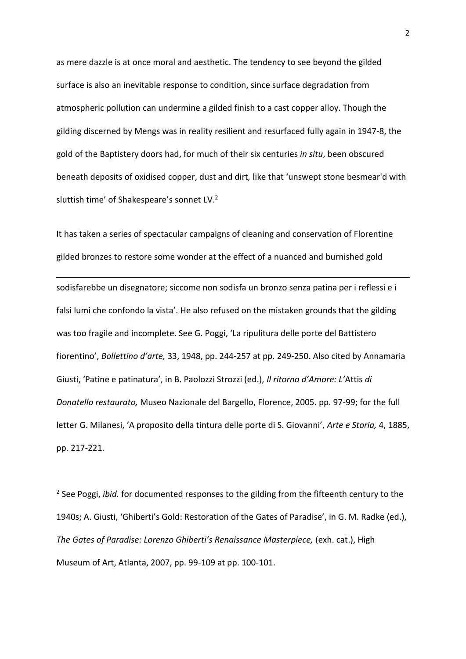as mere dazzle is at once moral and aesthetic. The tendency to see beyond the gilded surface is also an inevitable response to condition, since surface degradation from atmospheric pollution can undermine a gilded finish to a cast copper alloy. Though the gilding discerned by Mengs was in reality resilient and resurfaced fully again in 1947-8, the gold of the Baptistery doors had, for much of their six centuries *in situ*, been obscured beneath deposits of oxidised copper, dust and dirt*,* like that 'unswept stone besmear'd with sluttish time' of Shakespeare's sonnet LV.<sup>2</sup>

It has taken a series of spectacular campaigns of cleaning and conservation of Florentine gilded bronzes to restore some wonder at the effect of a nuanced and burnished gold

1

sodisfarebbe un disegnatore; siccome non sodisfa un bronzo senza patina per i reflessi e i falsi lumi che confondo la vista'. He also refused on the mistaken grounds that the gilding was too fragile and incomplete. See G. Poggi, 'La ripulitura delle porte del Battistero fiorentino', *Bollettino d'arte,* 33, 1948, pp. 244-257 at pp. 249-250. Also cited by Annamaria Giusti, 'Patine e patinatura', in B. Paolozzi Strozzi (ed.), *Il ritorno d'Amore: L'*Attis *di Donatello restaurato,* Museo Nazionale del Bargello, Florence, 2005. pp. 97-99; for the full letter G. Milanesi, 'A proposito della tintura delle porte di S. Giovanni', *Arte e Storia,* 4, 1885, pp. 217-221.

<sup>2</sup> See Poggi, *ibid.* for documented responses to the gilding from the fifteenth century to the 1940s; A. Giusti, 'Ghiberti's Gold: Restoration of the Gates of Paradise', in G. M. Radke (ed.), *The Gates of Paradise: Lorenzo Ghiberti's Renaissance Masterpiece,* (exh. cat.), High Museum of Art, Atlanta, 2007, pp. 99-109 at pp. 100-101.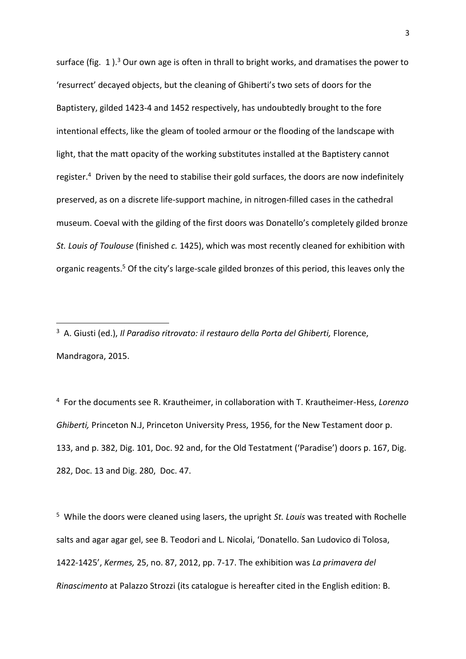surface (fig. 1).<sup>3</sup> Our own age is often in thrall to bright works, and dramatises the power to 'resurrect' decayed objects, but the cleaning of Ghiberti's two sets of doors for the Baptistery, gilded 1423-4 and 1452 respectively, has undoubtedly brought to the fore intentional effects, like the gleam of tooled armour or the flooding of the landscape with light, that the matt opacity of the working substitutes installed at the Baptistery cannot register.<sup>4</sup> Driven by the need to stabilise their gold surfaces, the doors are now indefinitely preserved, as on a discrete life-support machine, in nitrogen-filled cases in the cathedral museum. Coeval with the gilding of the first doors was Donatello's completely gilded bronze *St. Louis of Toulouse* (finished *c.* 1425), which was most recently cleaned for exhibition with organic reagents. <sup>5</sup> Of the city's large-scale gilded bronzes of this period, this leaves only the

**.** 

<sup>4</sup> For the documents see R. Krautheimer, in collaboration with T. Krautheimer-Hess, *Lorenzo Ghiberti,* Princeton N.J, Princeton University Press, 1956, for the New Testament door p. 133, and p. 382, Dig. 101, Doc. 92 and, for the Old Testatment ('Paradise') doors p. 167, Dig. 282, Doc. 13 and Dig. 280, Doc. 47.

5 While the doors were cleaned using lasers, the upright *St. Louis* was treated with Rochelle salts and agar agar gel, see B. Teodori and L. Nicolai, 'Donatello. San Ludovico di Tolosa, 1422-1425', *Kermes,* 25, no. 87, 2012, pp. 7-17. The exhibition was *La primavera del Rinascimento* at Palazzo Strozzi (its catalogue is hereafter cited in the English edition: B.

<sup>&</sup>lt;sup>3</sup> A. Giusti (ed.), *Il Paradiso ritrovato: il restauro della Porta del Ghiberti, Florence,* Mandragora, 2015.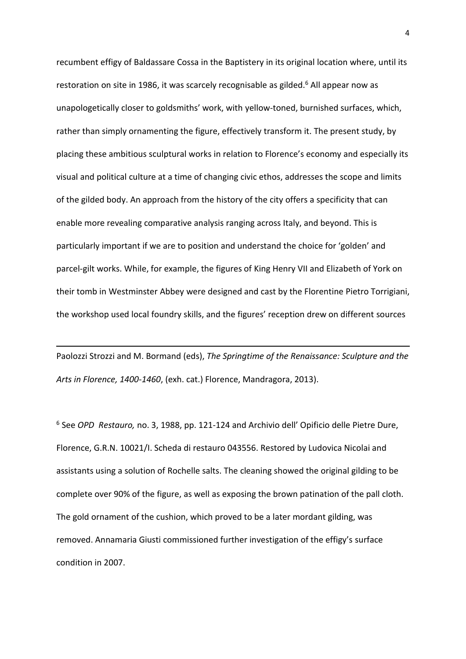recumbent effigy of Baldassare Cossa in the Baptistery in its original location where, until its restoration on site in 1986, it was scarcely recognisable as gilded.<sup>6</sup> All appear now as unapologetically closer to goldsmiths' work, with yellow-toned, burnished surfaces, which, rather than simply ornamenting the figure, effectively transform it. The present study, by placing these ambitious sculptural works in relation to Florence's economy and especially its visual and political culture at a time of changing civic ethos, addresses the scope and limits of the gilded body. An approach from the history of the city offers a specificity that can enable more revealing comparative analysis ranging across Italy, and beyond. This is particularly important if we are to position and understand the choice for 'golden' and parcel-gilt works. While, for example, the figures of King Henry VII and Elizabeth of York on their tomb in Westminster Abbey were designed and cast by the Florentine Pietro Torrigiani, the workshop used local foundry skills, and the figures' reception drew on different sources

Paolozzi Strozzi and M. Bormand (eds), *The Springtime of the Renaissance: Sculpture and the Arts in Florence, 1400-1460*, (exh. cat.) Florence, Mandragora, 2013).

**.** 

<sup>6</sup> See *OPD Restauro,* no. 3, 1988, pp. 121-124 and Archivio dell' Opificio delle Pietre Dure, Florence, G.R.N. 10021/I. Scheda di restauro 043556. Restored by Ludovica Nicolai and assistants using a solution of Rochelle salts. The cleaning showed the original gilding to be complete over 90% of the figure, as well as exposing the brown patination of the pall cloth. The gold ornament of the cushion, which proved to be a later mordant gilding, was removed. Annamaria Giusti commissioned further investigation of the effigy's surface condition in 2007.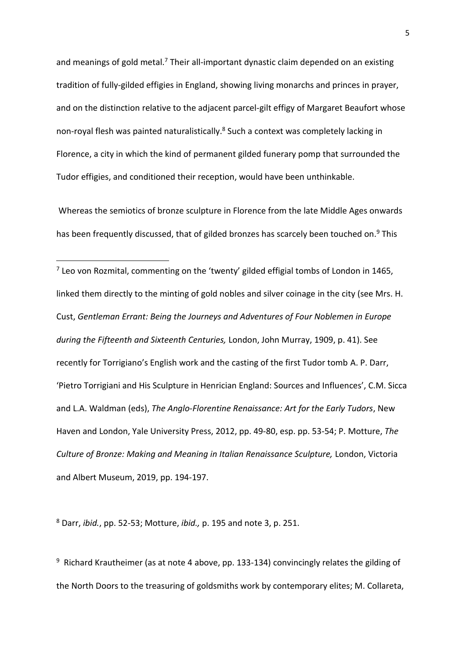and meanings of gold metal.<sup>7</sup> Their all-important dynastic claim depended on an existing tradition of fully-gilded effigies in England, showing living monarchs and princes in prayer, and on the distinction relative to the adjacent parcel-gilt effigy of Margaret Beaufort whose non-royal flesh was painted naturalistically.<sup>8</sup> Such a context was completely lacking in Florence, a city in which the kind of permanent gilded funerary pomp that surrounded the Tudor effigies, and conditioned their reception, would have been unthinkable.

Whereas the semiotics of bronze sculpture in Florence from the late Middle Ages onwards has been frequently discussed, that of gilded bronzes has scarcely been touched on.<sup>9</sup> This

<sup>7</sup> Leo von Rozmital, commenting on the 'twenty' gilded effigial tombs of London in 1465, linked them directly to the minting of gold nobles and silver coinage in the city (see Mrs. H. Cust, *Gentleman Errant: Being the Journeys and Adventures of Four Noblemen in Europe during the Fifteenth and Sixteenth Centuries,* London, John Murray, 1909, p. 41). See recently for Torrigiano's English work and the casting of the first Tudor tomb A. P. Darr, 'Pietro Torrigiani and His Sculpture in Henrician England: Sources and Influences', C.M. Sicca and L.A. Waldman (eds), *The Anglo-Florentine Renaissance: Art for the Early Tudors*, New Haven and London, Yale University Press, 2012, pp. 49-80, esp. pp. 53-54; P. Motture, *The Culture of Bronze: Making and Meaning in Italian Renaissance Sculpture, London, Victoria* and Albert Museum, 2019, pp. 194-197.

<sup>8</sup> Darr, *ibid.*, pp. 52-53; Motture, *ibid.,* p. 195 and note 3, p. 251.

1

<sup>9</sup> Richard Krautheimer (as at note 4 above, pp. 133-134) convincingly relates the gilding of the North Doors to the treasuring of goldsmiths work by contemporary elites; M. Collareta,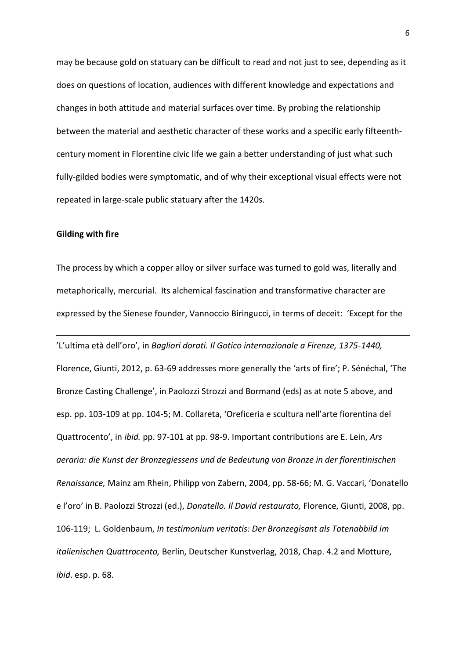may be because gold on statuary can be difficult to read and not just to see, depending as it does on questions of location, audiences with different knowledge and expectations and changes in both attitude and material surfaces over time. By probing the relationship between the material and aesthetic character of these works and a specific early fifteenthcentury moment in Florentine civic life we gain a better understanding of just what such fully-gilded bodies were symptomatic, and of why their exceptional visual effects were not repeated in large-scale public statuary after the 1420s.

# **Gilding with fire**

**.** 

The process by which a copper alloy or silver surface was turned to gold was, literally and metaphorically, mercurial. Its alchemical fascination and transformative character are expressed by the Sienese founder, Vannoccio Biringucci, in terms of deceit: 'Except for the

'L'ultima età dell'oro', in *Bagliori dorati. Il Gotico internazionale a Firenze, 1375-1440,*  Florence, Giunti, 2012, p. 63-69 addresses more generally the 'arts of fire'; P. Sénéchal, 'The Bronze Casting Challenge', in Paolozzi Strozzi and Bormand (eds) as at note 5 above, and esp. pp. 103-109 at pp. 104-5; M. Collareta, 'Oreficeria e scultura nell'arte fiorentina del Quattrocento', in *ibid.* pp. 97-101 at pp. 98-9. Important contributions are E. Lein, *Ars aeraria: die Kunst der Bronzegiessens und de Bedeutung von Bronze in der florentinischen Renaissance,* Mainz am Rhein, Philipp von Zabern, 2004, pp. 58-66; M. G. Vaccari, 'Donatello e l'oro' in B. Paolozzi Strozzi (ed.), *Donatello. Il David restaurato,* Florence, Giunti, 2008, pp. 106-119; L. Goldenbaum, *In testimonium veritatis: Der Bronzegisant als Totenabbild im italienischen Quattrocento,* Berlin, Deutscher Kunstverlag, 2018, Chap. 4.2 and Motture, *ibid*. esp. p. 68.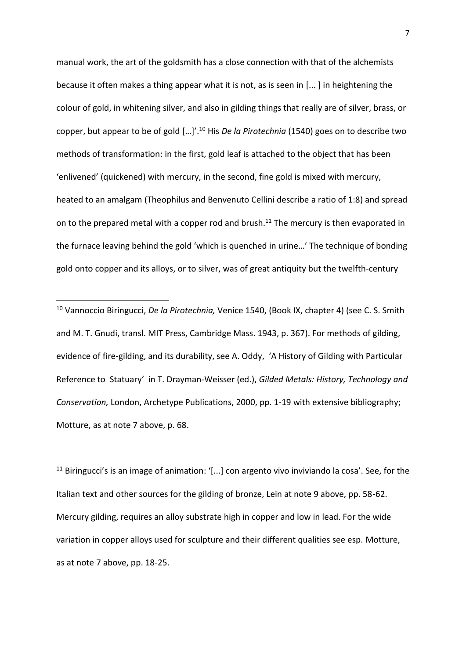manual work, the art of the goldsmith has a close connection with that of the alchemists because it often makes a thing appear what it is not, as is seen in [... ] in heightening the colour of gold, in whitening silver, and also in gilding things that really are of silver, brass, or copper, but appear to be of gold […]'.<sup>10</sup> His *De la Pirotechnia* (1540) goes on to describe two methods of transformation: in the first, gold leaf is attached to the object that has been 'enlivened' (quickened) with mercury, in the second, fine gold is mixed with mercury, heated to an amalgam (Theophilus and Benvenuto Cellini describe a ratio of 1:8) and spread on to the prepared metal with a copper rod and brush.<sup>11</sup> The mercury is then evaporated in the furnace leaving behind the gold 'which is quenched in urine…' The technique of bonding gold onto copper and its alloys, or to silver, was of great antiquity but the twelfth-century

<sup>10</sup> Vannoccio Biringucci, *De la Pirotechnia,* Venice 1540, (Book IX, chapter 4) (see C. S. Smith and M. T. Gnudi, transl. MIT Press, Cambridge Mass. 1943, p. 367). For methods of gilding, evidence of fire-gilding, and its durability, see A. Oddy, 'A History of Gilding with Particular Reference to Statuary' in T. Drayman-Weisser (ed.), *Gilded Metals: History, Technology and Conservation,* London, Archetype Publications, 2000, pp. 1-19 with extensive bibliography; Motture, as at note 7 above, p. 68.

**.** 

 $11$  Biringucci's is an image of animation: '[...] con argento vivo inviviando la cosa'. See, for the Italian text and other sources for the gilding of bronze, Lein at note 9 above, pp. 58-62. Mercury gilding, requires an alloy substrate high in copper and low in lead. For the wide variation in copper alloys used for sculpture and their different qualities see esp. Motture, as at note 7 above, pp. 18-25.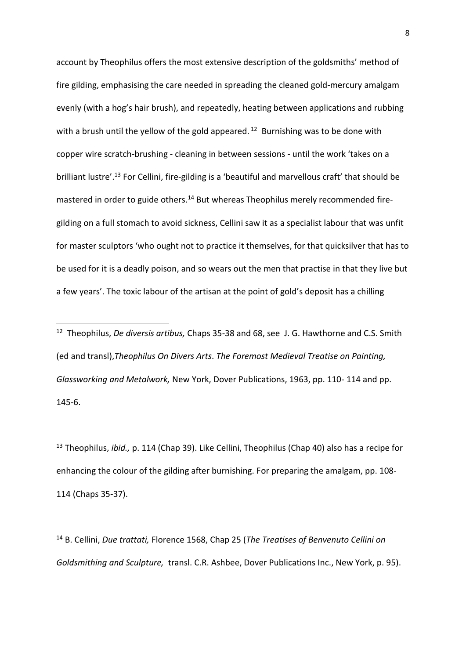account by Theophilus offers the most extensive description of the goldsmiths' method of fire gilding, emphasising the care needed in spreading the cleaned gold-mercury amalgam evenly (with a hog's hair brush), and repeatedly, heating between applications and rubbing with a brush until the yellow of the gold appeared.<sup>12</sup> Burnishing was to be done with copper wire scratch-brushing - cleaning in between sessions - until the work 'takes on a brilliant lustre'. <sup>13</sup> For Cellini, fire-gilding is a 'beautiful and marvellous craft' that should be mastered in order to guide others.<sup>14</sup> But whereas Theophilus merely recommended firegilding on a full stomach to avoid sickness, Cellini saw it as a specialist labour that was unfit for master sculptors 'who ought not to practice it themselves, for that quicksilver that has to be used for it is a deadly poison, and so wears out the men that practise in that they live but a few years'. The toxic labour of the artisan at the point of gold's deposit has a chilling

**.** 

<sup>13</sup> Theophilus, *ibid.,* p. 114 (Chap 39). Like Cellini, Theophilus (Chap 40) also has a recipe for enhancing the colour of the gilding after burnishing. For preparing the amalgam, pp. 108- 114 (Chaps 35-37).

<sup>14</sup> B. Cellini, *Due trattati,* Florence 1568, Chap 25 (*The Treatises of Benvenuto Cellini on Goldsmithing and Sculpture,* transl. C.R. Ashbee, Dover Publications Inc., New York, p. 95).

<sup>12</sup> Theophilus, *De diversis artibus,* Chaps 35-38 and 68, see J. G. Hawthorne and C.S. Smith (ed and transl),*Theophilus On Divers Arts*. *The Foremost Medieval Treatise on Painting, Glassworking and Metalwork,* New York, Dover Publications, 1963, pp. 110- 114 and pp. 145-6.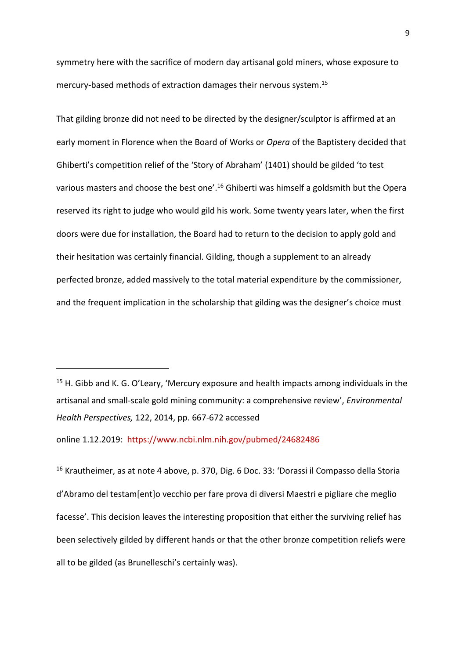symmetry here with the sacrifice of modern day artisanal gold miners, whose exposure to mercury-based methods of extraction damages their nervous system. 15

That gilding bronze did not need to be directed by the designer/sculptor is affirmed at an early moment in Florence when the Board of Works or *Opera* of the Baptistery decided that Ghiberti's competition relief of the 'Story of Abraham' (1401) should be gilded 'to test various masters and choose the best one'.<sup>16</sup> Ghiberti was himself a goldsmith but the Opera reserved its right to judge who would gild his work. Some twenty years later, when the first doors were due for installation, the Board had to return to the decision to apply gold and their hesitation was certainly financial. Gilding, though a supplement to an already perfected bronze, added massively to the total material expenditure by the commissioner, and the frequent implication in the scholarship that gilding was the designer's choice must

online 1.12.2019: <https://www.ncbi.nlm.nih.gov/pubmed/24682486>

**.** 

<sup>16</sup> Krautheimer, as at note 4 above, p. 370, Dig. 6 Doc. 33: 'Dorassi il Compasso della Storia d'Abramo del testam[ent]o vecchio per fare prova di diversi Maestri e pigliare che meglio facesse'. This decision leaves the interesting proposition that either the surviving relief has been selectively gilded by different hands or that the other bronze competition reliefs were all to be gilded (as Brunelleschi's certainly was).

 $15$  H. Gibb and K. G. O'Leary, 'Mercury exposure and health impacts among individuals in the artisanal and small-scale gold mining community: a comprehensive review', *Environmental Health Perspectives,* 122, 2014, pp. 667-672 accessed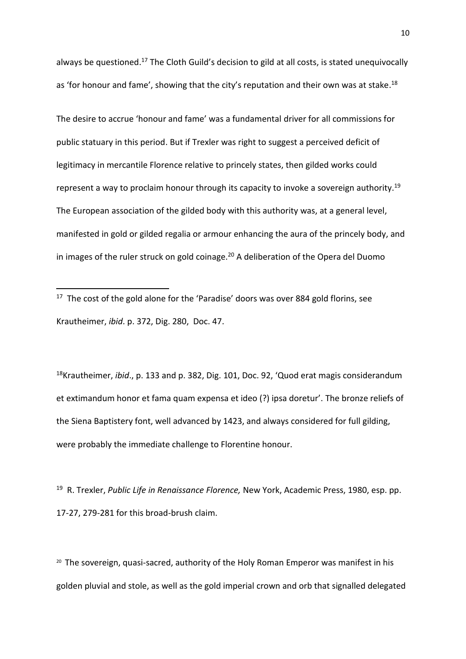always be questioned.<sup>17</sup> The Cloth Guild's decision to gild at all costs, is stated unequivocally as 'for honour and fame', showing that the city's reputation and their own was at stake.<sup>18</sup>

The desire to accrue 'honour and fame' was a fundamental driver for all commissions for public statuary in this period. But if Trexler was right to suggest a perceived deficit of legitimacy in mercantile Florence relative to princely states, then gilded works could represent a way to proclaim honour through its capacity to invoke a sovereign authority.<sup>19</sup> The European association of the gilded body with this authority was, at a general level, manifested in gold or gilded regalia or armour enhancing the aura of the princely body, and in images of the ruler struck on gold coinage.<sup>20</sup> A deliberation of the Opera del Duomo

<sup>17</sup> The cost of the gold alone for the 'Paradise' doors was over 884 gold florins, see Krautheimer, *ibid*. p. 372, Dig. 280, Doc. 47.

 $\overline{a}$ 

<sup>18</sup>Krautheimer, *ibid*., p. 133 and p. 382, Dig. 101, Doc. 92, 'Quod erat magis considerandum et extimandum honor et fama quam expensa et ideo (?) ipsa doretur'. The bronze reliefs of the Siena Baptistery font, well advanced by 1423, and always considered for full gilding, were probably the immediate challenge to Florentine honour.

19 R. Trexler, *Public Life in Renaissance Florence,* New York, Academic Press, 1980, esp. pp. 17-27, 279-281 for this broad-brush claim.

<sup>20</sup> The sovereign, quasi-sacred, authority of the Holy Roman Emperor was manifest in his golden pluvial and stole, as well as the gold imperial crown and orb that signalled delegated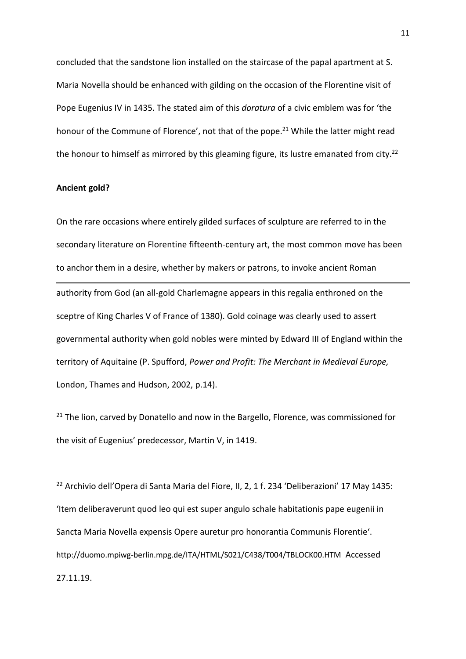concluded that the sandstone lion installed on the staircase of the papal apartment at S. Maria Novella should be enhanced with gilding on the occasion of the Florentine visit of Pope Eugenius IV in 1435. The stated aim of this *doratura* of a civic emblem was for 'the honour of the Commune of Florence', not that of the pope.<sup>21</sup> While the latter might read the honour to himself as mirrored by this gleaming figure, its lustre emanated from city.<sup>22</sup>

# **Ancient gold?**

On the rare occasions where entirely gilded surfaces of sculpture are referred to in the secondary literature on Florentine fifteenth-century art, the most common move has been to anchor them in a desire, whether by makers or patrons, to invoke ancient Roman 1 authority from God (an all-gold Charlemagne appears in this regalia enthroned on the sceptre of King Charles V of France of 1380). Gold coinage was clearly used to assert governmental authority when gold nobles were minted by Edward III of England within the territory of Aquitaine (P. Spufford, *Power and Profit: The Merchant in Medieval Europe,*  London, Thames and Hudson, 2002, p.14).

<sup>21</sup> The lion, carved by Donatello and now in the Bargello, Florence, was commissioned for the visit of Eugenius' predecessor, Martin V, in 1419.

<sup>22</sup> Archivio dell'Opera di Santa Maria del Fiore, II, 2, 1 f. 234 'Deliberazioni' 17 May 1435: 'Item deliberaverunt quod leo qui est super angulo schale habitationis pape eugenii in Sancta Maria Novella expensis Opere auretur pro honorantia Communis Florentie'. <http://duomo.mpiwg-berlin.mpg.de/ITA/HTML/S021/C438/T004/TBLOCK00.HTM> Accessed 27.11.19.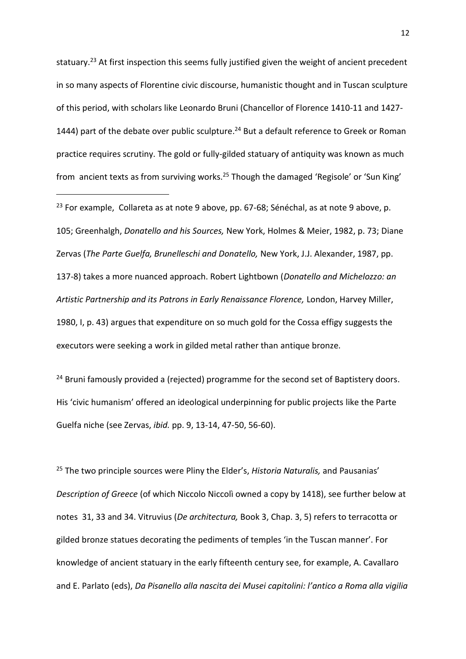statuary.<sup>23</sup> At first inspection this seems fully justified given the weight of ancient precedent in so many aspects of Florentine civic discourse, humanistic thought and in Tuscan sculpture of this period, with scholars like Leonardo Bruni (Chancellor of Florence 1410-11 and 1427- 1444) part of the debate over public sculpture.<sup>24</sup> But a default reference to Greek or Roman practice requires scrutiny. The gold or fully-gilded statuary of antiquity was known as much from ancient texts as from surviving works.<sup>25</sup> Though the damaged 'Regisole' or 'Sun King'

<sup>23</sup> For example, Collareta as at note 9 above, pp. 67-68; Sénéchal, as at note 9 above, p. 105; Greenhalgh, *Donatello and his Sources,* New York, Holmes & Meier, 1982, p. 73; Diane Zervas (*The Parte Guelfa, Brunelleschi and Donatello,* New York, J.J. Alexander, 1987, pp. 137-8) takes a more nuanced approach. Robert Lightbown (*Donatello and Michelozzo: an Artistic Partnership and its Patrons in Early Renaissance Florence,* London, Harvey Miller, 1980, I, p. 43) argues that expenditure on so much gold for the Cossa effigy suggests the executors were seeking a work in gilded metal rather than antique bronze.

**.** 

<sup>24</sup> Bruni famously provided a (rejected) programme for the second set of Baptistery doors. His 'civic humanism' offered an ideological underpinning for public projects like the Parte Guelfa niche (see Zervas, *ibid.* pp. 9, 13-14, 47-50, 56-60).

<sup>25</sup> The two principle sources were Pliny the Elder's, *Historia Naturalis,* and Pausanias' *Description of Greece* (of which Niccolo Niccolì owned a copy by 1418), see further below at notes 31, 33 and 34. Vitruvius (*De architectura,* Book 3, Chap. 3, 5) refers to terracotta or gilded bronze statues decorating the pediments of temples 'in the Tuscan manner'. For knowledge of ancient statuary in the early fifteenth century see, for example, A. Cavallaro and E. Parlato (eds), *Da Pisanello alla nascita dei Musei capitolini: l'antico a Roma alla vigilia*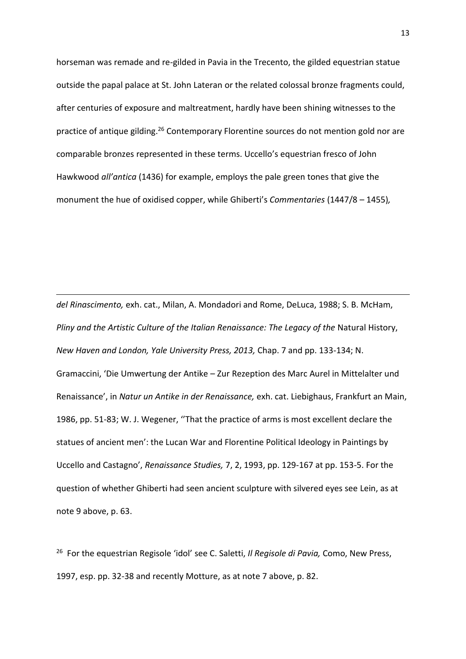horseman was remade and re-gilded in Pavia in the Trecento, the gilded equestrian statue outside the papal palace at St. John Lateran or the related colossal bronze fragments could, after centuries of exposure and maltreatment, hardly have been shining witnesses to the practice of antique gilding.<sup>26</sup> Contemporary Florentine sources do not mention gold nor are comparable bronzes represented in these terms. Uccello's equestrian fresco of John Hawkwood *all'antica* (1436) for example, employs the pale green tones that give the monument the hue of oxidised copper, while Ghiberti's *Commentaries* (1447/8 – 1455)*,* 

*del Rinascimento,* exh. cat., Milan, A. Mondadori and Rome, DeLuca, 1988; S. B. McHam, *Pliny and the Artistic Culture of the Italian Renaissance: The Legacy of the Natural History, New Haven and London, Yale University Press, 2013,* Chap. 7 and pp. 133-134; N. Gramaccini, 'Die Umwertung der Antike – Zur Rezeption des Marc Aurel in Mittelalter und Renaissance', in *Natur un Antike in der Renaissance,* exh. cat. Liebighaus, Frankfurt an Main, 1986, pp. 51-83; W. J. Wegener, ''That the practice of arms is most excellent declare the statues of ancient men': the Lucan War and Florentine Political Ideology in Paintings by Uccello and Castagno', *Renaissance Studies,* 7, 2, 1993, pp. 129-167 at pp. 153-5. For the question of whether Ghiberti had seen ancient sculpture with silvered eyes see Lein, as at note 9 above, p. 63.

**.** 

26 For the equestrian Regisole 'idol' see C. Saletti, *Il Regisole di Pavia,* Como, New Press, 1997, esp. pp. 32-38 and recently Motture, as at note 7 above, p. 82.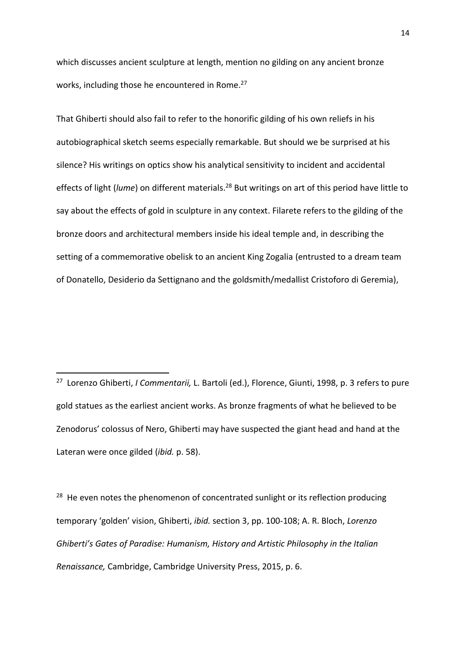which discusses ancient sculpture at length, mention no gilding on any ancient bronze works, including those he encountered in Rome.<sup>27</sup>

That Ghiberti should also fail to refer to the honorific gilding of his own reliefs in his autobiographical sketch seems especially remarkable. But should we be surprised at his silence? His writings on optics show his analytical sensitivity to incident and accidental effects of light (*lume*) on different materials. <sup>28</sup> But writings on art of this period have little to say about the effects of gold in sculpture in any context. Filarete refers to the gilding of the bronze doors and architectural members inside his ideal temple and, in describing the setting of a commemorative obelisk to an ancient King Zogalia (entrusted to a dream team of Donatello, Desiderio da Settignano and the goldsmith/medallist Cristoforo di Geremia),

27 Lorenzo Ghiberti, *I Commentarii,* L. Bartoli (ed.), Florence, Giunti, 1998, p. 3 refers to pure gold statues as the earliest ancient works. As bronze fragments of what he believed to be Zenodorus' colossus of Nero, Ghiberti may have suspected the giant head and hand at the Lateran were once gilded (*ibid.* p. 58).

**.** 

<sup>28</sup> He even notes the phenomenon of concentrated sunlight or its reflection producing temporary 'golden' vision, Ghiberti, *ibid.* section 3, pp. 100-108; A. R. Bloch, *Lorenzo Ghiberti's Gates of Paradise: Humanism, History and Artistic Philosophy in the Italian Renaissance,* Cambridge, Cambridge University Press, 2015, p. 6.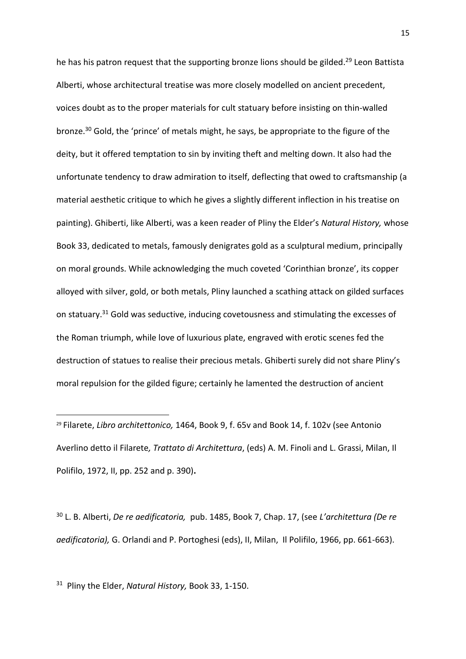he has his patron request that the supporting bronze lions should be gilded.<sup>29</sup> Leon Battista Alberti, whose architectural treatise was more closely modelled on ancient precedent, voices doubt as to the proper materials for cult statuary before insisting on thin-walled bronze.<sup>30</sup> Gold, the 'prince' of metals might, he says, be appropriate to the figure of the deity, but it offered temptation to sin by inviting theft and melting down. It also had the unfortunate tendency to draw admiration to itself, deflecting that owed to craftsmanship (a material aesthetic critique to which he gives a slightly different inflection in his treatise on painting). Ghiberti, like Alberti, was a keen reader of Pliny the Elder's *Natural History,* whose Book 33, dedicated to metals, famously denigrates gold as a sculptural medium, principally on moral grounds. While acknowledging the much coveted 'Corinthian bronze', its copper alloyed with silver, gold, or both metals, Pliny launched a scathing attack on gilded surfaces on statuary.<sup>31</sup> Gold was seductive, inducing covetousness and stimulating the excesses of the Roman triumph, while love of luxurious plate, engraved with erotic scenes fed the destruction of statues to realise their precious metals. Ghiberti surely did not share Pliny's moral repulsion for the gilded figure; certainly he lamented the destruction of ancient

<sup>30</sup> L. B. Alberti, *De re aedificatoria,* pub. 1485, Book 7, Chap. 17, (see *L'architettura (De re aedificatoria),* G. Orlandi and P. Portoghesi (eds), II, Milan, Il Polifilo, 1966, pp. 661-663).

31 Pliny the Elder, *Natural History,* Book 33, 1-150.

 $\overline{a}$ 

<sup>29</sup> Filarete, *Libro architettonico,* 1464, Book 9, f. 65v and Book 14, f. 102v (see Antonio Averlino detto il Filarete*, Trattato di Architettura*, (eds) A. M. Finoli and L. Grassi, Milan, Il Polifilo, 1972, II, pp. 252 and p. 390)**.**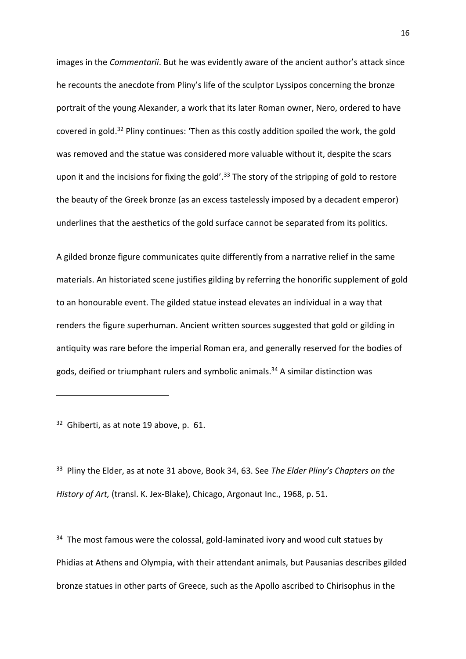images in the *Commentarii*. But he was evidently aware of the ancient author's attack since he recounts the anecdote from Pliny's life of the sculptor Lyssipos concerning the bronze portrait of the young Alexander, a work that its later Roman owner, Nero, ordered to have covered in gold.<sup>32</sup> Pliny continues: 'Then as this costly addition spoiled the work, the gold was removed and the statue was considered more valuable without it, despite the scars upon it and the incisions for fixing the gold'.<sup>33</sup> The story of the stripping of gold to restore the beauty of the Greek bronze (as an excess tastelessly imposed by a decadent emperor) underlines that the aesthetics of the gold surface cannot be separated from its politics.

A gilded bronze figure communicates quite differently from a narrative relief in the same materials. An historiated scene justifies gilding by referring the honorific supplement of gold to an honourable event. The gilded statue instead elevates an individual in a way that renders the figure superhuman. Ancient written sources suggested that gold or gilding in antiquity was rare before the imperial Roman era, and generally reserved for the bodies of gods, deified or triumphant rulers and symbolic animals. <sup>34</sup> A similar distinction was

<sup>32</sup> Ghiberti, as at note 19 above, p. 61.

1

33 Pliny the Elder, as at note 31 above, Book 34, 63. See *The Elder Pliny's Chapters on the History of Art,* (transl. K. Jex-Blake), Chicago, Argonaut Inc., 1968, p. 51.

<sup>34</sup> The most famous were the colossal, gold-laminated ivory and wood cult statues by Phidias at Athens and Olympia, with their attendant animals, but Pausanias describes gilded bronze statues in other parts of Greece, such as the Apollo ascribed to Chirisophus in the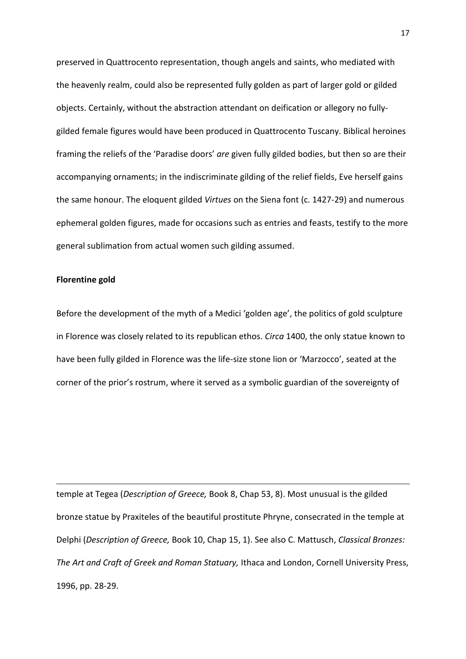preserved in Quattrocento representation, though angels and saints, who mediated with the heavenly realm, could also be represented fully golden as part of larger gold or gilded objects. Certainly, without the abstraction attendant on deification or allegory no fullygilded female figures would have been produced in Quattrocento Tuscany. Biblical heroines framing the reliefs of the 'Paradise doors' *are* given fully gilded bodies, but then so are their accompanying ornaments; in the indiscriminate gilding of the relief fields, Eve herself gains the same honour. The eloquent gilded *Virtues* on the Siena font (c. 1427-29) and numerous ephemeral golden figures, made for occasions such as entries and feasts, testify to the more general sublimation from actual women such gilding assumed.

## **Florentine gold**

**.** 

Before the development of the myth of a Medici 'golden age', the politics of gold sculpture in Florence was closely related to its republican ethos. *Circa* 1400, the only statue known to have been fully gilded in Florence was the life-size stone lion or 'Marzocco', seated at the corner of the prior's rostrum, where it served as a symbolic guardian of the sovereignty of

temple at Tegea (*Description of Greece,* Book 8, Chap 53, 8). Most unusual is the gilded bronze statue by Praxiteles of the beautiful prostitute Phryne, consecrated in the temple at Delphi (*Description of Greece,* Book 10, Chap 15, 1). See also C. Mattusch, *Classical Bronzes: The Art and Craft of Greek and Roman Statuary,* Ithaca and London, Cornell University Press, 1996, pp. 28-29.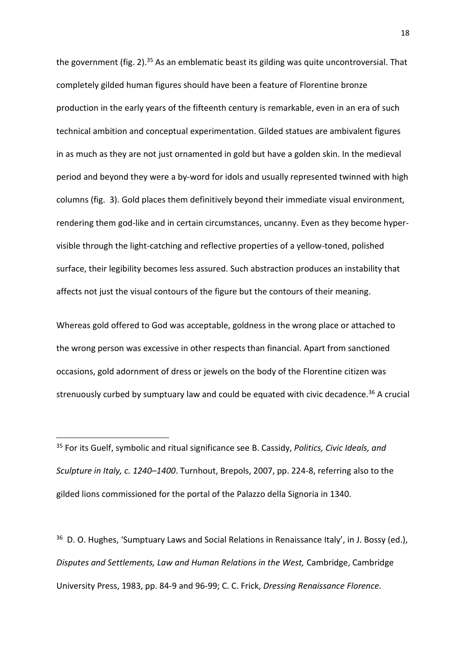the government (fig. 2).<sup>35</sup> As an emblematic beast its gilding was quite uncontroversial. That completely gilded human figures should have been a feature of Florentine bronze production in the early years of the fifteenth century is remarkable, even in an era of such technical ambition and conceptual experimentation. Gilded statues are ambivalent figures in as much as they are not just ornamented in gold but have a golden skin. In the medieval period and beyond they were a by-word for idols and usually represented twinned with high columns (fig. 3). Gold places them definitively beyond their immediate visual environment, rendering them god-like and in certain circumstances, uncanny. Even as they become hypervisible through the light-catching and reflective properties of a yellow-toned, polished surface, their legibility becomes less assured. Such abstraction produces an instability that affects not just the visual contours of the figure but the contours of their meaning.

Whereas gold offered to God was acceptable, goldness in the wrong place or attached to the wrong person was excessive in other respects than financial. Apart from sanctioned occasions, gold adornment of dress or jewels on the body of the Florentine citizen was strenuously curbed by sumptuary law and could be equated with civic decadence.<sup>36</sup> A crucial

 $\overline{a}$ 

<sup>36</sup> D. O. Hughes, 'Sumptuary Laws and Social Relations in Renaissance Italy', in J. Bossy (ed.), *Disputes and Settlements, Law and Human Relations in the West,* Cambridge, Cambridge University Press, 1983, pp. 84-9 and 96-99; C. C. Frick, *Dressing Renaissance Florence.* 

<sup>35</sup> For its Guelf, symbolic and ritual significance see B. Cassidy, *Politics, Civic Ideals, and Sculpture in Italy, c. 1240–1400*. Turnhout, Brepols, 2007, pp. 224-8, referring also to the gilded lions commissioned for the portal of the Palazzo della Signoria in 1340.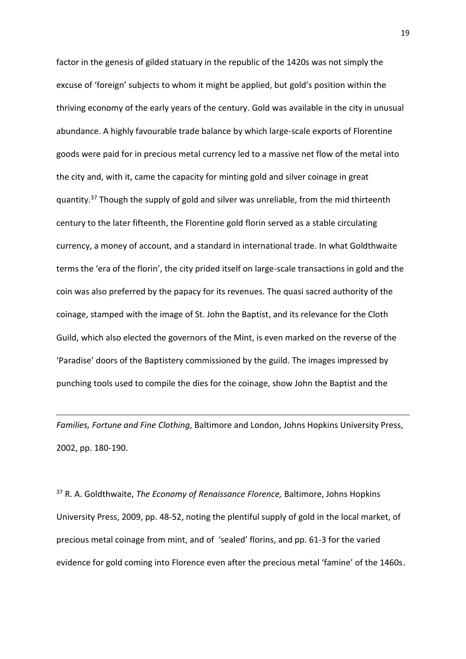factor in the genesis of gilded statuary in the republic of the 1420s was not simply the excuse of 'foreign' subjects to whom it might be applied, but gold's position within the thriving economy of the early years of the century. Gold was available in the city in unusual abundance. A highly favourable trade balance by which large-scale exports of Florentine goods were paid for in precious metal currency led to a massive net flow of the metal into the city and, with it, came the capacity for minting gold and silver coinage in great quantity.<sup>37</sup> Though the supply of gold and silver was unreliable, from the mid thirteenth century to the later fifteenth, the Florentine gold florin served as a stable circulating currency, a money of account, and a standard in international trade. In what Goldthwaite terms the 'era of the florin', the city prided itself on large-scale transactions in gold and the coin was also preferred by the papacy for its revenues. The quasi sacred authority of the coinage, stamped with the image of St. John the Baptist, and its relevance for the Cloth Guild, which also elected the governors of the Mint, is even marked on the reverse of the 'Paradise' doors of the Baptistery commissioned by the guild. The images impressed by punching tools used to compile the dies for the coinage, show John the Baptist and the

*Families, Fortune and Fine Clothing*, Baltimore and London, Johns Hopkins University Press, 2002, pp. 180-190.

 $\overline{a}$ 

<sup>37</sup> R. A. Goldthwaite, *The Economy of Renaissance Florence,* Baltimore, Johns Hopkins University Press, 2009, pp. 48-52, noting the plentiful supply of gold in the local market, of precious metal coinage from mint, and of 'sealed' florins, and pp. 61-3 for the varied evidence for gold coming into Florence even after the precious metal 'famine' of the 1460s.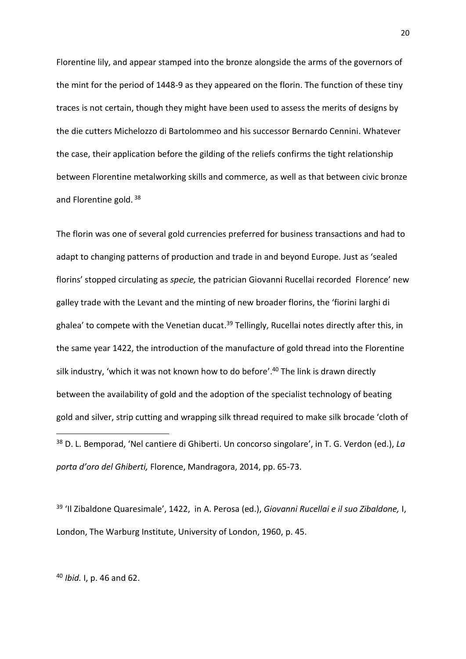Florentine lily, and appear stamped into the bronze alongside the arms of the governors of the mint for the period of 1448-9 as they appeared on the florin. The function of these tiny traces is not certain, though they might have been used to assess the merits of designs by the die cutters Michelozzo di Bartolommeo and his successor Bernardo Cennini. Whatever the case, their application before the gilding of the reliefs confirms the tight relationship between Florentine metalworking skills and commerce, as well as that between civic bronze and Florentine gold.<sup>38</sup>

The florin was one of several gold currencies preferred for business transactions and had to adapt to changing patterns of production and trade in and beyond Europe. Just as 'sealed florins' stopped circulating as *specie,* the patrician Giovanni Rucellai recorded Florence' new galley trade with the Levant and the minting of new broader florins, the 'fiorini larghi di ghalea' to compete with the Venetian ducat.<sup>39</sup> Tellingly, Rucellai notes directly after this, in the same year 1422, the introduction of the manufacture of gold thread into the Florentine silk industry, 'which it was not known how to do before'.<sup>40</sup> The link is drawn directly between the availability of gold and the adoption of the specialist technology of beating gold and silver, strip cutting and wrapping silk thread required to make silk brocade 'cloth of **.** <sup>38</sup> D. L. Bemporad, 'Nel cantiere di Ghiberti. Un concorso singolare', in T. G. Verdon (ed.), *La* 

*porta d'oro del Ghiberti,* Florence, Mandragora, 2014, pp. 65-73.

<sup>39</sup> 'Il Zibaldone Quaresimale', 1422, in A. Perosa (ed.), *Giovanni Rucellai e il suo Zibaldone,* I, London, The Warburg Institute, University of London, 1960, p. 45.

<sup>40</sup> *Ibid.* I, p. 46 and 62.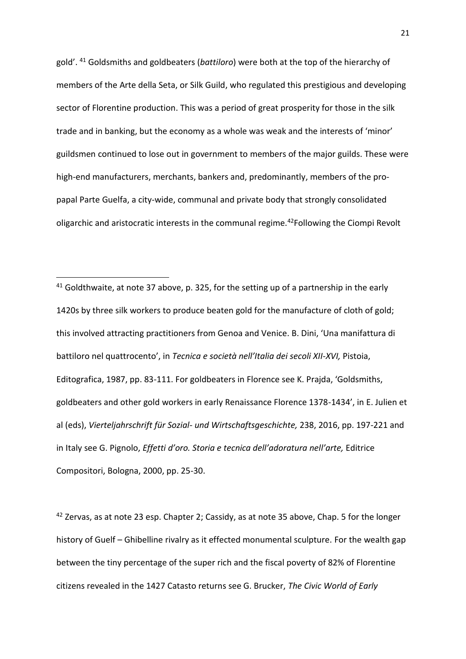gold'. <sup>41</sup> Goldsmiths and goldbeaters (*battiloro*) were both at the top of the hierarchy of members of the Arte della Seta, or Silk Guild, who regulated this prestigious and developing sector of Florentine production. This was a period of great prosperity for those in the silk trade and in banking, but the economy as a whole was weak and the interests of 'minor' guildsmen continued to lose out in government to members of the major guilds. These were high-end manufacturers, merchants, bankers and, predominantly, members of the propapal Parte Guelfa, a city-wide, communal and private body that strongly consolidated oligarchic and aristocratic interests in the communal regime.<sup>42</sup>Following the Ciompi Revolt

 $41$  Goldthwaite, at note 37 above, p. 325, for the setting up of a partnership in the early 1420s by three silk workers to produce beaten gold for the manufacture of cloth of gold; this involved attracting practitioners from Genoa and Venice. B. Dini, 'Una manifattura di battiloro nel quattrocento', in *Tecnica e società nell'Italia dei secoli XII-XVI,* Pistoia, Editografica, 1987, pp. 83-111. For goldbeaters in Florence see K. Prajda, 'Goldsmiths, goldbeaters and other gold workers in early Renaissance Florence 1378-1434', in E. Julien et al (eds), *Vierteljahrschrift für Sozial- und Wirtschaftsgeschichte,* 238, 2016, pp. 197-221 and in Italy see G. Pignolo, *Effetti d'oro. Storia e tecnica dell'adoratura nell'arte,* Editrice Compositori, Bologna, 2000, pp. 25-30.

1

 $42$  Zervas, as at note 23 esp. Chapter 2; Cassidy, as at note 35 above, Chap. 5 for the longer history of Guelf – Ghibelline rivalry as it effected monumental sculpture. For the wealth gap between the tiny percentage of the super rich and the fiscal poverty of 82% of Florentine citizens revealed in the 1427 Catasto returns see G. Brucker, *The Civic World of Early*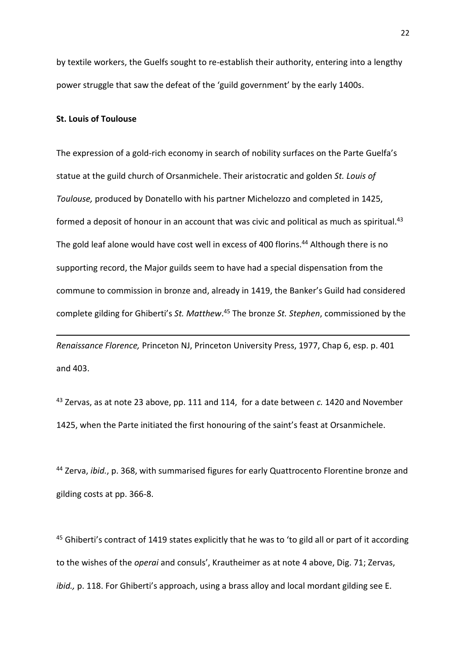by textile workers, the Guelfs sought to re-establish their authority, entering into a lengthy power struggle that saw the defeat of the 'guild government' by the early 1400s.

### **St. Louis of Toulouse**

**.** 

The expression of a gold-rich economy in search of nobility surfaces on the Parte Guelfa's statue at the guild church of Orsanmichele. Their aristocratic and golden *St. Louis of Toulouse,* produced by Donatello with his partner Michelozzo and completed in 1425, formed a deposit of honour in an account that was civic and political as much as spiritual.<sup>43</sup> The gold leaf alone would have cost well in excess of 400 florins.<sup>44</sup> Although there is no supporting record, the Major guilds seem to have had a special dispensation from the commune to commission in bronze and, already in 1419, the Banker's Guild had considered complete gilding for Ghiberti's *St. Matthew*. <sup>45</sup> The bronze *St. Stephen*, commissioned by the

*Renaissance Florence,* Princeton NJ, Princeton University Press, 1977, Chap 6, esp. p. 401 and 403.

<sup>43</sup> Zervas, as at note 23 above, pp. 111 and 114, for a date between *c.* 1420 and November 1425, when the Parte initiated the first honouring of the saint's feast at Orsanmichele.

<sup>44</sup> Zerva, *ibid.*, p. 368, with summarised figures for early Quattrocento Florentine bronze and gilding costs at pp. 366-8.

 $45$  Ghiberti's contract of 1419 states explicitly that he was to 'to gild all or part of it according to the wishes of the *operai* and consuls', Krautheimer as at note 4 above, Dig. 71; Zervas, *ibid.,* p. 118. For Ghiberti's approach, using a brass alloy and local mordant gilding see E.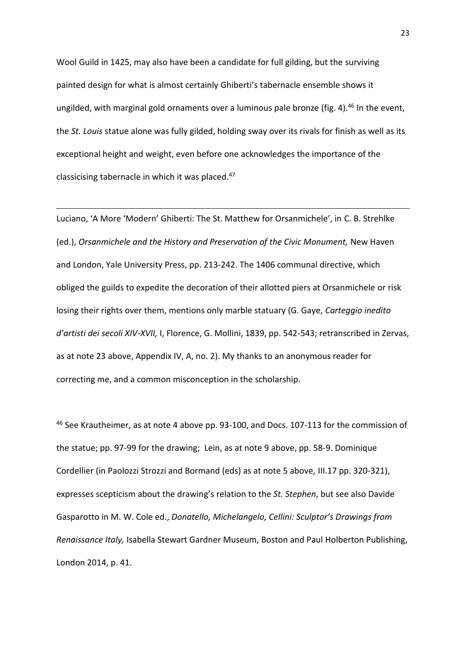Wool Guild in 1425, may also have been a candidate for full gilding, but the surviving painted design for what is almost certainly Ghiberti's tabernacle ensemble shows it ungilded, with marginal gold ornaments over a luminous pale bronze (fig. 4).<sup>46</sup> In the event, the *St. Louis* statue alone was fully gilded, holding sway over its rivals for finish as well as its exceptional height and weight, even before one acknowledges the importance of the classicising tabernacle in which it was placed.<sup>47</sup>

**.** 

Luciano, 'A More 'Modern' Ghiberti: The St. Matthew for Orsanmichele', in C. B. Strehlke (ed.), *Orsanmichele and the History and Preservation of the Civic Monument,* New Haven and London, Yale University Press, pp. 213-242. The 1406 communal directive, which obliged the guilds to expedite the decoration of their allotted piers at Orsanmichele or risk losing their rights over them, mentions only marble statuary (G. Gaye, *Carteggio inedito d'artisti dei secoli XIV-XVII,* I, Florence, G. Mollini, 1839, pp. 542-543; retranscribed in Zervas, as at note 23 above, Appendix IV, A, no. 2). My thanks to an anonymous reader for correcting me, and a common misconception in the scholarship.

<sup>46</sup> See Krautheimer, as at note 4 above pp. 93-100, and Docs. 107-113 for the commission of the statue; pp. 97-99 for the drawing; Lein, as at note 9 above, pp. 58-9. Dominique Cordellier (in Paolozzi Strozzi and Bormand (eds) as at note 5 above*,* III.17 pp. 320-321), expresses scepticism about the drawing's relation to the *St. Stephen*, but see also Davide Gasparotto in M. W. Cole ed., *Donatello, Michelangelo, Cellini: Sculptor's Drawings from Renaissance Italy,* Isabella Stewart Gardner Museum, Boston and Paul Holberton Publishing, London 2014, p. 41.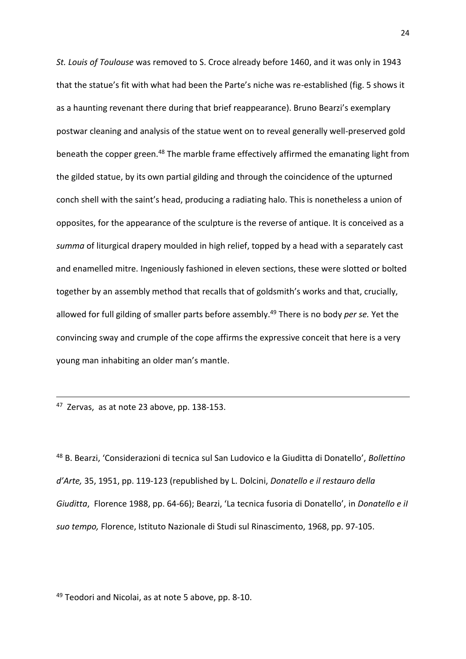*St. Louis of Toulouse* was removed to S. Croce already before 1460, and it was only in 1943 that the statue's fit with what had been the Parte's niche was re-established (fig. 5 shows it as a haunting revenant there during that brief reappearance). Bruno Bearzi's exemplary postwar cleaning and analysis of the statue went on to reveal generally well-preserved gold beneath the copper green.<sup>48</sup> The marble frame effectively affirmed the emanating light from the gilded statue, by its own partial gilding and through the coincidence of the upturned conch shell with the saint's head, producing a radiating halo. This is nonetheless a union of opposites, for the appearance of the sculpture is the reverse of antique. It is conceived as a *summa* of liturgical drapery moulded in high relief, topped by a head with a separately cast and enamelled mitre. Ingeniously fashioned in eleven sections, these were slotted or bolted together by an assembly method that recalls that of goldsmith's works and that, crucially, allowed for full gilding of smaller parts before assembly. <sup>49</sup> There is no body *per se.* Yet the convincing sway and crumple of the cope affirms the expressive conceit that here is a very young man inhabiting an older man's mantle.

<sup>47</sup> Zervas, as at note 23 above, pp. 138-153.

**.** 

<sup>48</sup> B. Bearzi, 'Considerazioni di tecnica sul San Ludovico e la Giuditta di Donatello', *Bollettino d'Arte,* 35, 1951, pp. 119-123 (republished by L. Dolcini, *Donatello e il restauro della Giuditta*, Florence 1988, pp. 64-66); Bearzi, 'La tecnica fusoria di Donatello', in *Donatello e iI suo tempo,* Florence, Istituto Nazionale di Studi sul Rinascimento, 1968, pp. 97-105.

<sup>49</sup> Teodori and Nicolai, as at note 5 above, pp. 8-10.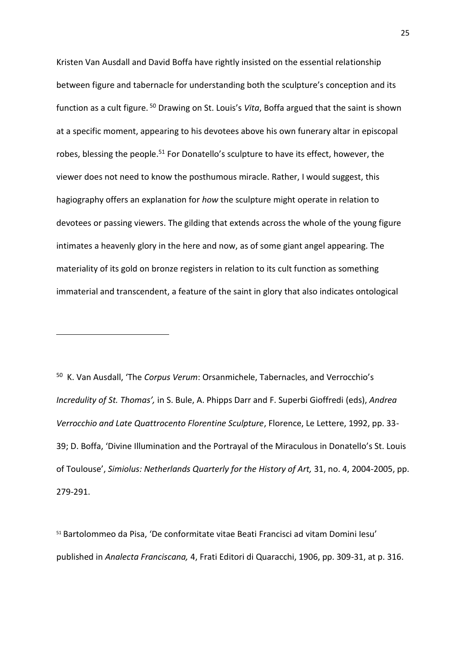Kristen Van Ausdall and David Boffa have rightly insisted on the essential relationship between figure and tabernacle for understanding both the sculpture's conception and its function as a cult figure. <sup>50</sup> Drawing on St. Louis's *Vita*, Boffa argued that the saint is shown at a specific moment, appearing to his devotees above his own funerary altar in episcopal robes, blessing the people.<sup>51</sup> For Donatello's sculpture to have its effect, however, the viewer does not need to know the posthumous miracle. Rather, I would suggest, this hagiography offers an explanation for *how* the sculpture might operate in relation to devotees or passing viewers. The gilding that extends across the whole of the young figure intimates a heavenly glory in the here and now, as of some giant angel appearing. The materiality of its gold on bronze registers in relation to its cult function as something immaterial and transcendent, a feature of the saint in glory that also indicates ontological

50 K. Van Ausdall, 'The *Corpus Verum*: Orsanmichele, Tabernacles, and Verrocchio's *Incredulity of St. Thomas',* in S. Bule, A. Phipps Darr and F. Superbi Gioffredi (eds), *Andrea Verrocchio and Late Quattrocento Florentine Sculpture*, Florence, Le Lettere, 1992, pp. 33- 39; D. Boffa, 'Divine Illumination and the Portrayal of the Miraculous in Donatello's St. Louis of Toulouse', *Simiolus: Netherlands Quarterly for the History of Art,* 31, no. 4, 2004-2005, pp. 279-291.

**.** 

<sup>51</sup> Bartolommeo da Pisa, 'De conformitate vitae Beati Francisci ad vitam Domini Iesu' published in *Analecta Franciscana,* 4, Frati Editori di Quaracchi, 1906, pp. 309-31, at p. 316.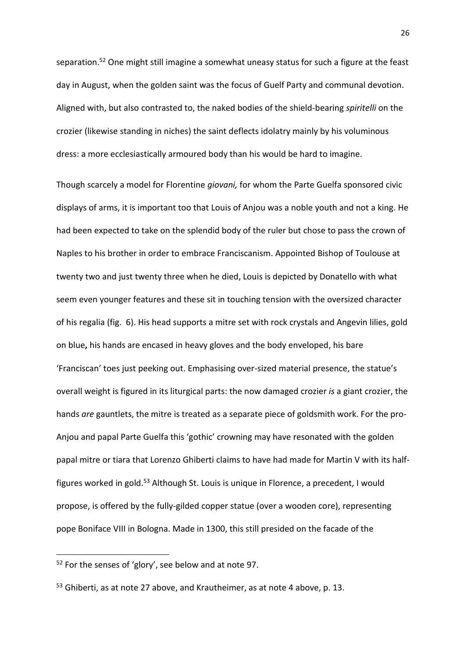separation. <sup>52</sup> One might still imagine a somewhat uneasy status for such a figure at the feast day in August, when the golden saint was the focus of Guelf Party and communal devotion. Aligned with, but also contrasted to, the naked bodies of the shield-bearing *spiritelli* on the crozier (likewise standing in niches) the saint deflects idolatry mainly by his voluminous dress: a more ecclesiastically armoured body than his would be hard to imagine.

Though scarcely a model for Florentine *giovani,* for whom the Parte Guelfa sponsored civic displays of arms, it is important too that Louis of Anjou was a noble youth and not a king. He had been expected to take on the splendid body of the ruler but chose to pass the crown of Naples to his brother in order to embrace Franciscanism. Appointed Bishop of Toulouse at twenty two and just twenty three when he died, Louis is depicted by Donatello with what seem even younger features and these sit in touching tension with the oversized character of his regalia (fig. 6). His head supports a mitre set with rock crystals and Angevin lilies, gold on blue**,** his hands are encased in heavy gloves and the body enveloped, his bare 'Franciscan' toes just peeking out. Emphasising over-sized material presence, the statue's overall weight is figured in its liturgical parts: the now damaged crozier *is* a giant crozier, the hands *are* gauntlets, the mitre is treated as a separate piece of goldsmith work. For the pro-Anjou and papal Parte Guelfa this 'gothic' crowning may have resonated with the golden papal mitre or tiara that Lorenzo Ghiberti claims to have had made for Martin V with its halffigures worked in gold.<sup>53</sup> Although St. Louis is unique in Florence, a precedent, I would propose, is offered by the fully-gilded copper statue (over a wooden core), representing pope Boniface VIII in Bologna. Made in 1300, this still presided on the facade of the

**.** 

 $52$  For the senses of 'glory', see below and at note 97.

<sup>&</sup>lt;sup>53</sup> Ghiberti, as at note 27 above, and Krautheimer, as at note 4 above, p. 13.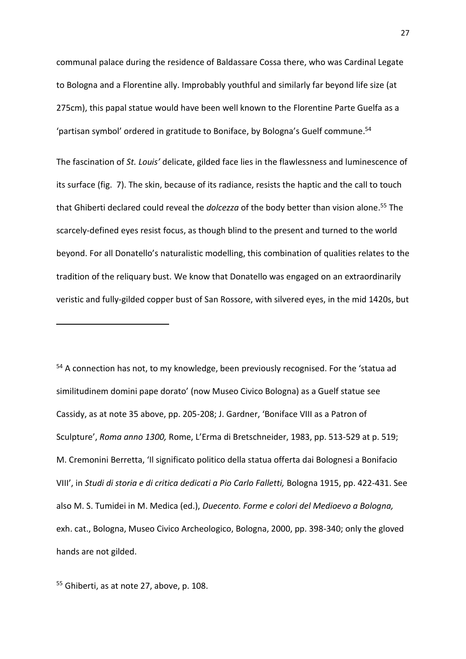communal palace during the residence of Baldassare Cossa there, who was Cardinal Legate to Bologna and a Florentine ally. Improbably youthful and similarly far beyond life size (at 275cm), this papal statue would have been well known to the Florentine Parte Guelfa as a 'partisan symbol' ordered in gratitude to Boniface, by Bologna's Guelf commune.<sup>54</sup>

The fascination of *St. Louis'* delicate, gilded face lies in the flawlessness and luminescence of its surface (fig. 7). The skin, because of its radiance, resists the haptic and the call to touch that Ghiberti declared could reveal the *dolcezza* of the body better than vision alone. <sup>55</sup> The scarcely-defined eyes resist focus, as though blind to the present and turned to the world beyond. For all Donatello's naturalistic modelling, this combination of qualities relates to the tradition of the reliquary bust. We know that Donatello was engaged on an extraordinarily veristic and fully-gilded copper bust of San Rossore, with silvered eyes, in the mid 1420s, but

<sup>54</sup> A connection has not, to my knowledge, been previously recognised. For the 'statua ad similitudinem domini pape dorato' (now Museo Civico Bologna) as a Guelf statue see Cassidy, as at note 35 above, pp. 205-208; J. Gardner, 'Boniface VIII as a Patron of Sculpture', *Roma anno 1300,* Rome, L'Erma di Bretschneider, 1983, pp. 513-529 at p. 519; M. Cremonini Berretta, 'Il significato politico della statua offerta dai Bolognesi a Bonifacio VIII', in *Studi di storia e di critica dedicati a Pio Carlo Falletti,* Bologna 1915, pp. 422-431. See also M. S. Tumidei in M. Medica (ed.), *Duecento. Forme e colori del Medioevo a Bologna,*  exh. cat., Bologna, Museo Civico Archeologico, Bologna, 2000, pp. 398-340; only the gloved hands are not gilded.

<sup>55</sup> Ghiberti, as at note 27, above, p. 108.

1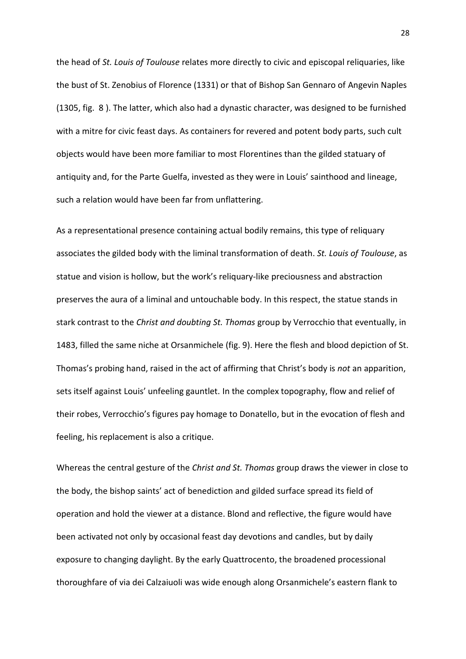the head of *St. Louis of Toulouse* relates more directly to civic and episcopal reliquaries, like the bust of St. Zenobius of Florence (1331) or that of Bishop San Gennaro of Angevin Naples (1305, fig. 8 ). The latter, which also had a dynastic character, was designed to be furnished with a mitre for civic feast days. As containers for revered and potent body parts, such cult objects would have been more familiar to most Florentines than the gilded statuary of antiquity and, for the Parte Guelfa, invested as they were in Louis' sainthood and lineage, such a relation would have been far from unflattering.

As a representational presence containing actual bodily remains, this type of reliquary associates the gilded body with the liminal transformation of death. *St. Louis of Toulouse*, as statue and vision is hollow, but the work's reliquary-like preciousness and abstraction preserves the aura of a liminal and untouchable body. In this respect, the statue stands in stark contrast to the *Christ and doubting St. Thomas* group by Verrocchio that eventually, in 1483, filled the same niche at Orsanmichele (fig. 9). Here the flesh and blood depiction of St. Thomas's probing hand, raised in the act of affirming that Christ's body is *not* an apparition, sets itself against Louis' unfeeling gauntlet. In the complex topography, flow and relief of their robes, Verrocchio's figures pay homage to Donatello, but in the evocation of flesh and feeling, his replacement is also a critique.

Whereas the central gesture of the *Christ and St. Thomas* group draws the viewer in close to the body, the bishop saints' act of benediction and gilded surface spread its field of operation and hold the viewer at a distance. Blond and reflective, the figure would have been activated not only by occasional feast day devotions and candles, but by daily exposure to changing daylight. By the early Quattrocento, the broadened processional thoroughfare of via dei Calzaiuoli was wide enough along Orsanmichele's eastern flank to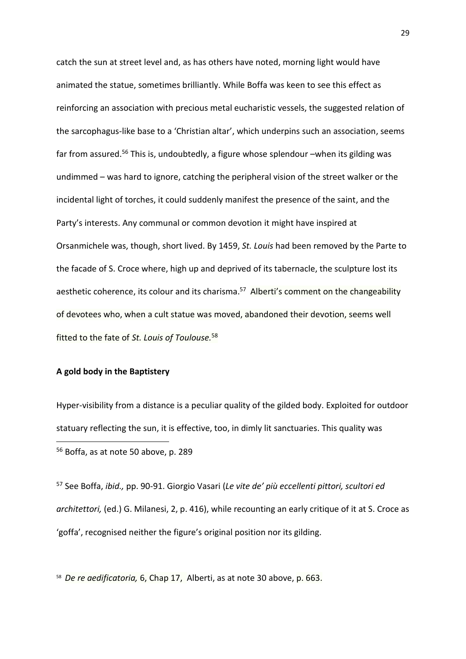catch the sun at street level and, as has others have noted, morning light would have animated the statue, sometimes brilliantly. While Boffa was keen to see this effect as reinforcing an association with precious metal eucharistic vessels, the suggested relation of the sarcophagus-like base to a 'Christian altar', which underpins such an association, seems far from assured.<sup>56</sup> This is, undoubtedly, a figure whose splendour –when its gilding was undimmed – was hard to ignore, catching the peripheral vision of the street walker or the incidental light of torches, it could suddenly manifest the presence of the saint, and the Party's interests. Any communal or common devotion it might have inspired at Orsanmichele was, though, short lived. By 1459, *St. Louis* had been removed by the Parte to the facade of S. Croce where, high up and deprived of its tabernacle, the sculpture lost its aesthetic coherence, its colour and its charisma.<sup>57</sup> Alberti's comment on the changeability of devotees who, when a cult statue was moved, abandoned their devotion, seems well fitted to the fate of *St. Louis of Toulouse.* 58

## **A gold body in the Baptistery**

Hyper-visibility from a distance is a peculiar quality of the gilded body. Exploited for outdoor statuary reflecting the sun, it is effective, too, in dimly lit sanctuaries. This quality was **.** <sup>56</sup> Boffa, as at note 50 above, p. 289

<sup>57</sup> See Boffa, *ibid.,* pp. 90-91. Giorgio Vasari (*Le vite de' più eccellenti pittori, scultori ed architettori,* (ed.) G. Milanesi, 2, p. 416), while recounting an early critique of it at S. Croce as 'goffa', recognised neither the figure's original position nor its gilding.

58 *De re aedificatoria,* 6, Chap 17, Alberti, as at note 30 above, p. 663.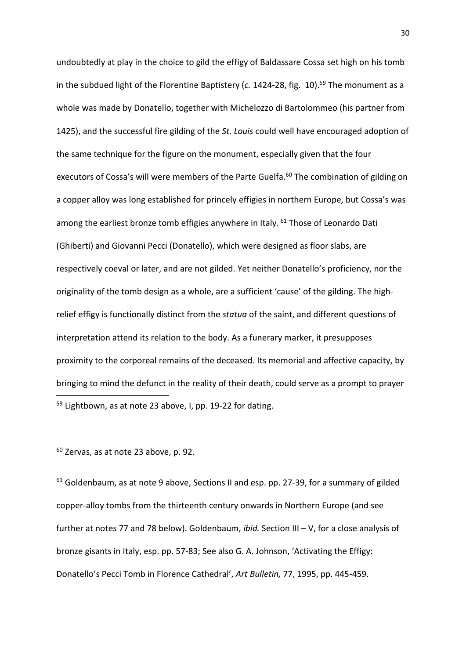undoubtedly at play in the choice to gild the effigy of Baldassare Cossa set high on his tomb in the subdued light of the Florentine Baptistery (*c.* 1424-28, fig. 10). <sup>59</sup> The monument as a whole was made by Donatello, together with Michelozzo di Bartolommeo (his partner from 1425), and the successful fire gilding of the *St. Louis* could well have encouraged adoption of the same technique for the figure on the monument, especially given that the four executors of Cossa's will were members of the Parte Guelfa.<sup>60</sup> The combination of gilding on a copper alloy was long established for princely effigies in northern Europe, but Cossa's was among the earliest bronze tomb effigies anywhere in Italy. <sup>61</sup> Those of Leonardo Dati (Ghiberti) and Giovanni Pecci (Donatello), which were designed as floor slabs, are respectively coeval or later, and are not gilded. Yet neither Donatello's proficiency, nor the originality of the tomb design as a whole, are a sufficient 'cause' of the gilding. The highrelief effigy is functionally distinct from the *statua* of the saint, and different questions of interpretation attend its relation to the body. As a funerary marker, it presupposes proximity to the corporeal remains of the deceased. Its memorial and affective capacity, by bringing to mind the defunct in the reality of their death, could serve as a prompt to prayer 1 <sup>59</sup> Lightbown, as at note 23 above, I, pp. 19-22 for dating.

<sup>60</sup> Zervas, as at note 23 above, p. 92.

<sup>61</sup> Goldenbaum, as at note 9 above, Sections II and esp. pp. 27-39, for a summary of gilded copper-alloy tombs from the thirteenth century onwards in Northern Europe (and see further at notes 77 and 78 below). Goldenbaum, *ibid.* Section III – V, for a close analysis of bronze gisants in Italy, esp. pp. 57-83; See also G. A. Johnson, 'Activating the Effigy: Donatello's Pecci Tomb in Florence Cathedral', *Art Bulletin,* 77, 1995, pp. 445-459.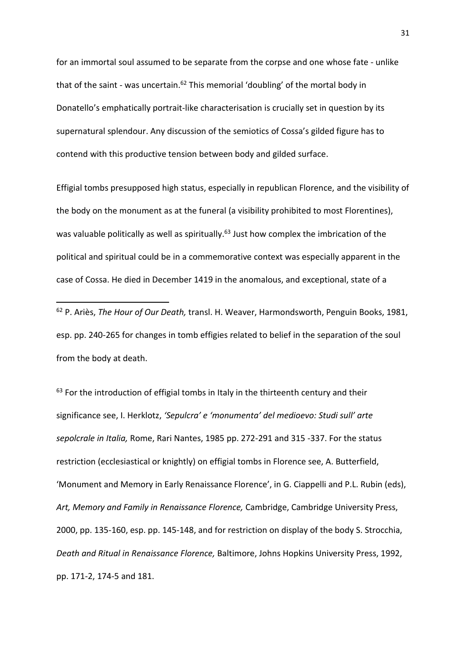for an immortal soul assumed to be separate from the corpse and one whose fate - unlike that of the saint - was uncertain. $62$  This memorial 'doubling' of the mortal body in Donatello's emphatically portrait-like characterisation is crucially set in question by its supernatural splendour. Any discussion of the semiotics of Cossa's gilded figure has to contend with this productive tension between body and gilded surface.

Effigial tombs presupposed high status, especially in republican Florence, and the visibility of the body on the monument as at the funeral (a visibility prohibited to most Florentines), was valuable politically as well as spiritually.<sup>63</sup> Just how complex the imbrication of the political and spiritual could be in a commemorative context was especially apparent in the case of Cossa. He died in December 1419 in the anomalous, and exceptional, state of a

<sup>62</sup> P. Ariès, *The Hour of Our Death,* transl. H. Weaver, Harmondsworth, Penguin Books, 1981, esp. pp. 240-265 for changes in tomb effigies related to belief in the separation of the soul from the body at death.

**.** 

 $63$  For the introduction of effigial tombs in Italy in the thirteenth century and their significance see, I. Herklotz, *'Sepulcra' e 'monumenta' del medioevo: Studi sull' arte sepolcrale in Italia,* Rome, Rari Nantes, 1985 pp. 272-291 and 315 -337. For the status restriction (ecclesiastical or knightly) on effigial tombs in Florence see, A. Butterfield, 'Monument and Memory in Early Renaissance Florence', in G. Ciappelli and P.L. Rubin (eds), *Art, Memory and Family in Renaissance Florence,* Cambridge, Cambridge University Press, 2000, pp. 135-160, esp. pp. 145-148, and for restriction on display of the body S. Strocchia, *Death and Ritual in Renaissance Florence,* Baltimore, Johns Hopkins University Press, 1992, pp. 171-2, 174-5 and 181.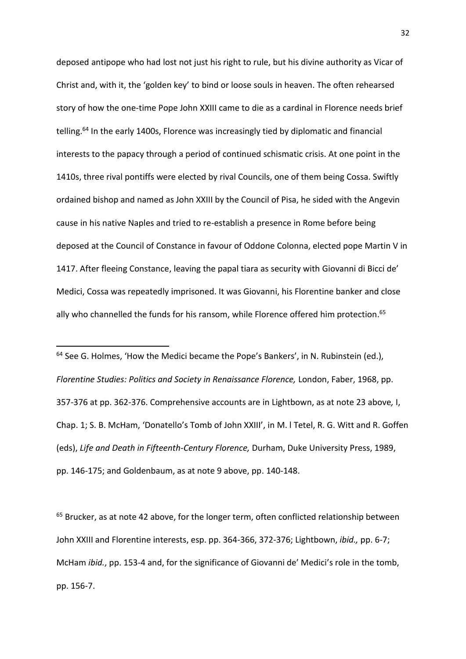deposed antipope who had lost not just his right to rule, but his divine authority as Vicar of Christ and, with it, the 'golden key' to bind or loose souls in heaven. The often rehearsed story of how the one-time Pope John XXIII came to die as a cardinal in Florence needs brief telling.<sup>64</sup> In the early 1400s, Florence was increasingly tied by diplomatic and financial interests to the papacy through a period of continued schismatic crisis. At one point in the 1410s, three rival pontiffs were elected by rival Councils, one of them being Cossa. Swiftly ordained bishop and named as John XXIII by the Council of Pisa, he sided with the Angevin cause in his native Naples and tried to re-establish a presence in Rome before being deposed at the Council of Constance in favour of Oddone Colonna, elected pope Martin V in 1417. After fleeing Constance, leaving the papal tiara as security with Giovanni di Bicci de' Medici, Cossa was repeatedly imprisoned. It was Giovanni, his Florentine banker and close ally who channelled the funds for his ransom, while Florence offered him protection. 65

<sup>64</sup> See G. Holmes, 'How the Medici became the Pope's Bankers', in N. Rubinstein (ed.), *Florentine Studies: Politics and Society in Renaissance Florence,* London, Faber, 1968, pp. 357-376 at pp. 362-376. Comprehensive accounts are in Lightbown, as at note 23 above*,* I, Chap. 1; S. B. McHam, 'Donatello's Tomb of John XXIII', in M. l Tetel, R. G. Witt and R. Goffen (eds), *Life and Death in Fifteenth-Century Florence,* Durham, Duke University Press, 1989, pp. 146-175; and Goldenbaum, as at note 9 above, pp. 140-148.

**.** 

<sup>65</sup> Brucker, as at note 42 above, for the longer term, often conflicted relationship between John XXIII and Florentine interests, esp. pp. 364-366, 372-376; Lightbown, *ibid.,* pp. 6-7; McHam *ibid.*, pp. 153-4 and, for the significance of Giovanni de' Medici's role in the tomb, pp. 156-7.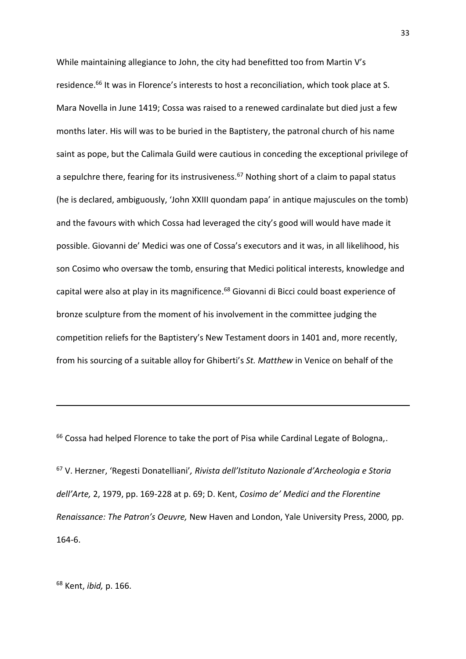While maintaining allegiance to John, the city had benefitted too from Martin V's residence.<sup>66</sup> It was in Florence's interests to host a reconciliation, which took place at S. Mara Novella in June 1419; Cossa was raised to a renewed cardinalate but died just a few months later. His will was to be buried in the Baptistery, the patronal church of his name saint as pope, but the Calimala Guild were cautious in conceding the exceptional privilege of a sepulchre there, fearing for its instrusiveness.<sup>67</sup> Nothing short of a claim to papal status (he is declared, ambiguously, 'John XXIII quondam papa' in antique majuscules on the tomb) and the favours with which Cossa had leveraged the city's good will would have made it possible. Giovanni de' Medici was one of Cossa's executors and it was, in all likelihood, his son Cosimo who oversaw the tomb, ensuring that Medici political interests, knowledge and capital were also at play in its magnificence. <sup>68</sup> Giovanni di Bicci could boast experience of bronze sculpture from the moment of his involvement in the committee judging the competition reliefs for the Baptistery's New Testament doors in 1401 and, more recently, from his sourcing of a suitable alloy for Ghiberti's *St. Matthew* in Venice on behalf of the

<sup>66</sup> Cossa had helped Florence to take the port of Pisa while Cardinal Legate of Bologna,.

<sup>67</sup> V. Herzner, 'Regesti Donatelliani'*, Rivista dell'Istituto Nazionale d'Archeologia e Storia dell'Arte,* 2, 1979, pp. 169-228 at p. 69; D. Kent, *Cosimo de' Medici and the Florentine Renaissance: The Patron's Oeuvre,* New Haven and London, Yale University Press, 2000*,* pp. 164-6.

<sup>68</sup> Kent, *ibid,* p. 166.

**.**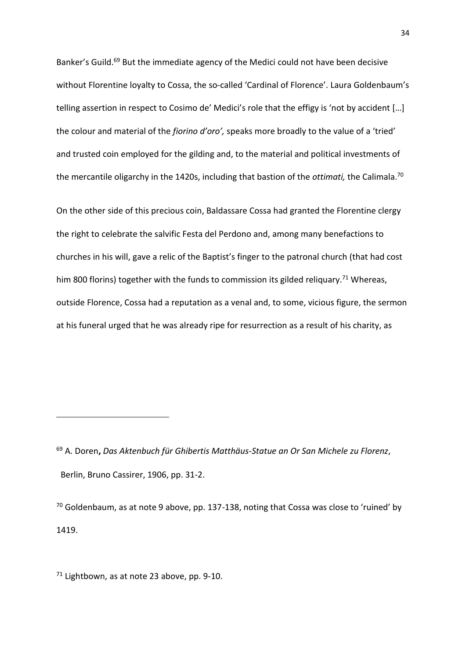Banker's Guild.<sup>69</sup> But the immediate agency of the Medici could not have been decisive without Florentine loyalty to Cossa, the so-called 'Cardinal of Florence'. Laura Goldenbaum's telling assertion in respect to Cosimo de' Medici's role that the effigy is 'not by accident […] the colour and material of the *fiorino d'oro',* speaks more broadly to the value of a 'tried' and trusted coin employed for the gilding and, to the material and political investments of the mercantile oligarchy in the 1420s, including that bastion of the *ottimati,* the Calimala. 70

On the other side of this precious coin, Baldassare Cossa had granted the Florentine clergy the right to celebrate the salvific Festa del Perdono and, among many benefactions to churches in his will, gave a relic of the Baptist's finger to the patronal church (that had cost him 800 florins) together with the funds to commission its gilded reliquary.<sup>71</sup> Whereas, outside Florence, Cossa had a reputation as a venal and, to some, vicious figure, the sermon at his funeral urged that he was already ripe for resurrection as a result of his charity, as

 $\overline{\phantom{a}}$ 

<sup>69</sup> A. Doren**,** *Das Aktenbuch für Ghibertis Matthäus-Statue an Or San Michele zu Florenz*, Berlin, Bruno Cassirer, 1906, pp. 31-2.

 $70$  Goldenbaum, as at note 9 above, pp. 137-138, noting that Cossa was close to 'ruined' by 1419.

 $71$  Lightbown, as at note 23 above, pp. 9-10.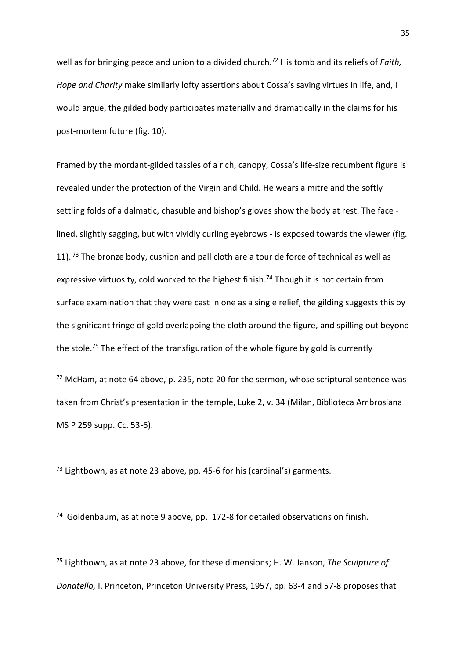well as for bringing peace and union to a divided church. <sup>72</sup> His tomb and its reliefs of *Faith, Hope and Charity* make similarly lofty assertions about Cossa's saving virtues in life, and, I would argue, the gilded body participates materially and dramatically in the claims for his post-mortem future (fig. 10).

Framed by the mordant-gilded tassles of a rich, canopy, Cossa's life-size recumbent figure is revealed under the protection of the Virgin and Child. He wears a mitre and the softly settling folds of a dalmatic, chasuble and bishop's gloves show the body at rest. The face lined, slightly sagging, but with vividly curling eyebrows - is exposed towards the viewer (fig. 11).<sup>73</sup> The bronze body, cushion and pall cloth are a tour de force of technical as well as expressive virtuosity, cold worked to the highest finish.<sup>74</sup> Though it is not certain from surface examination that they were cast in one as a single relief, the gilding suggests this by the significant fringe of gold overlapping the cloth around the figure, and spilling out beyond the stole.<sup>75</sup> The effect of the transfiguration of the whole figure by gold is currently

 $72$  McHam, at note 64 above, p. 235, note 20 for the sermon, whose scriptural sentence was taken from Christ's presentation in the temple, Luke 2, v. 34 (Milan, Biblioteca Ambrosiana MS P 259 supp. Cc. 53-6).

 $73$  Lightbown, as at note 23 above, pp. 45-6 for his (cardinal's) garments.

**.** 

<sup>74</sup> Goldenbaum, as at note 9 above, pp. 172-8 for detailed observations on finish.

<sup>75</sup> Lightbown, as at note 23 above, for these dimensions; H. W. Janson, *The Sculpture of Donatello,* I, Princeton, Princeton University Press, 1957, pp. 63-4 and 57-8 proposes that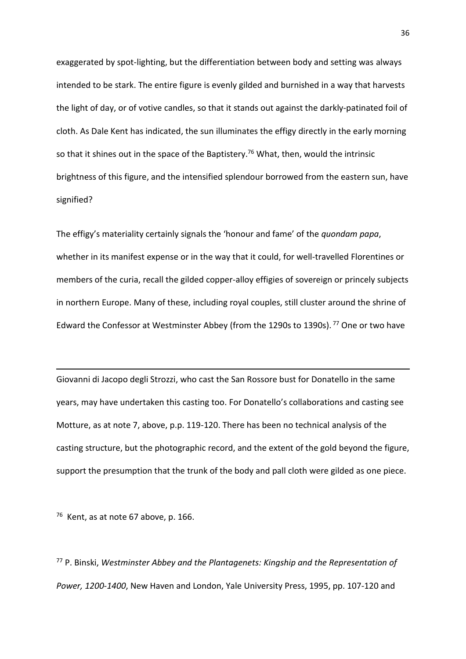exaggerated by spot-lighting, but the differentiation between body and setting was always intended to be stark. The entire figure is evenly gilded and burnished in a way that harvests the light of day, or of votive candles, so that it stands out against the darkly-patinated foil of cloth. As Dale Kent has indicated, the sun illuminates the effigy directly in the early morning so that it shines out in the space of the Baptistery.<sup>76</sup> What, then, would the intrinsic brightness of this figure, and the intensified splendour borrowed from the eastern sun, have signified?

The effigy's materiality certainly signals the 'honour and fame' of the *quondam papa*, whether in its manifest expense or in the way that it could, for well-travelled Florentines or members of the curia, recall the gilded copper-alloy effigies of sovereign or princely subjects in northern Europe. Many of these, including royal couples, still cluster around the shrine of Edward the Confessor at Westminster Abbey (from the 1290s to 1390s). <sup>77</sup> One or two have

Giovanni di Jacopo degli Strozzi, who cast the San Rossore bust for Donatello in the same years, may have undertaken this casting too. For Donatello's collaborations and casting see Motture, as at note 7, above, p.p. 119-120. There has been no technical analysis of the casting structure, but the photographic record, and the extent of the gold beyond the figure, support the presumption that the trunk of the body and pall cloth were gilded as one piece.

 $76$  Kent, as at note 67 above, p. 166.

**.** 

<sup>77</sup> P. Binski, *Westminster Abbey and the Plantagenets: Kingship and the Representation of Power, 1200-1400*, New Haven and London, Yale University Press, 1995, pp. 107-120 and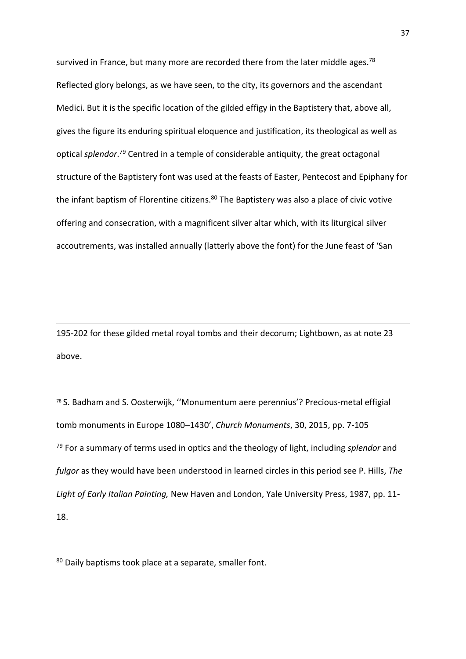survived in France, but many more are recorded there from the later middle ages.<sup>78</sup> Reflected glory belongs, as we have seen, to the city, its governors and the ascendant Medici. But it is the specific location of the gilded effigy in the Baptistery that, above all, gives the figure its enduring spiritual eloquence and justification, its theological as well as optical *splendor*. <sup>79</sup> Centred in a temple of considerable antiquity, the great octagonal structure of the Baptistery font was used at the feasts of Easter, Pentecost and Epiphany for the infant baptism of Florentine citizens.<sup>80</sup> The Baptistery was also a place of civic votive offering and consecration, with a magnificent silver altar which, with its liturgical silver accoutrements, was installed annually (latterly above the font) for the June feast of 'San

195-202 for these gilded metal royal tombs and their decorum; Lightbown, as at note 23 above.

<sup>78</sup> S. Badham and S. Oosterwijk, ''Monumentum aere perennius'? Precious-metal effigial tomb monuments in Europe 1080–1430', *Church Monuments*, 30, 2015, pp. 7-105 <sup>79</sup> For a summary of terms used in optics and the theology of light, including *splendor* and *fulgor* as they would have been understood in learned circles in this period see P. Hills, *The Light of Early Italian Painting,* New Haven and London, Yale University Press, 1987, pp. 11- 18.

80 Daily baptisms took place at a separate, smaller font.

**.**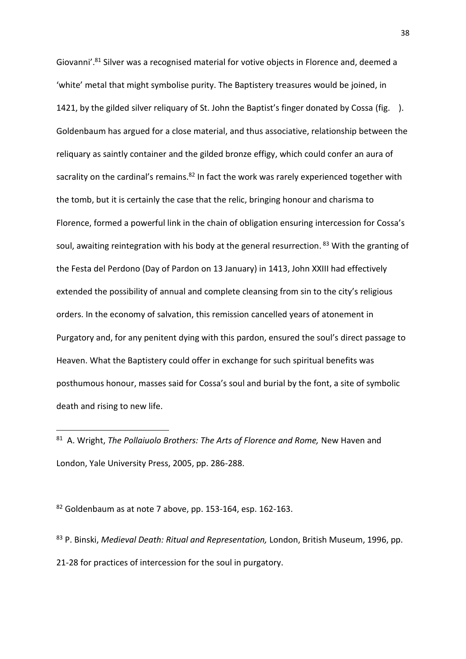Giovanni'.<sup>81</sup> Silver was a recognised material for votive objects in Florence and, deemed a 'white' metal that might symbolise purity. The Baptistery treasures would be joined, in 1421, by the gilded silver reliquary of St. John the Baptist's finger donated by Cossa (fig. ). Goldenbaum has argued for a close material, and thus associative, relationship between the reliquary as saintly container and the gilded bronze effigy, which could confer an aura of sacrality on the cardinal's remains.<sup>82</sup> In fact the work was rarely experienced together with the tomb, but it is certainly the case that the relic, bringing honour and charisma to Florence, formed a powerful link in the chain of obligation ensuring intercession for Cossa's soul, awaiting reintegration with his body at the general resurrection. <sup>83</sup> With the granting of the Festa del Perdono (Day of Pardon on 13 January) in 1413, John XXIII had effectively extended the possibility of annual and complete cleansing from sin to the city's religious orders. In the economy of salvation, this remission cancelled years of atonement in Purgatory and, for any penitent dying with this pardon, ensured the soul's direct passage to Heaven. What the Baptistery could offer in exchange for such spiritual benefits was posthumous honour, masses said for Cossa's soul and burial by the font, a site of symbolic death and rising to new life.

 $82$  Goldenbaum as at note 7 above, pp. 153-164, esp. 162-163.

1

<sup>83</sup> P. Binski, *Medieval Death: Ritual and Representation,* London, British Museum, 1996, pp. 21-28 for practices of intercession for the soul in purgatory.

<sup>81</sup> A. Wright, *The Pollaiuolo Brothers: The Arts of Florence and Rome,* New Haven and London, Yale University Press, 2005, pp. 286-288.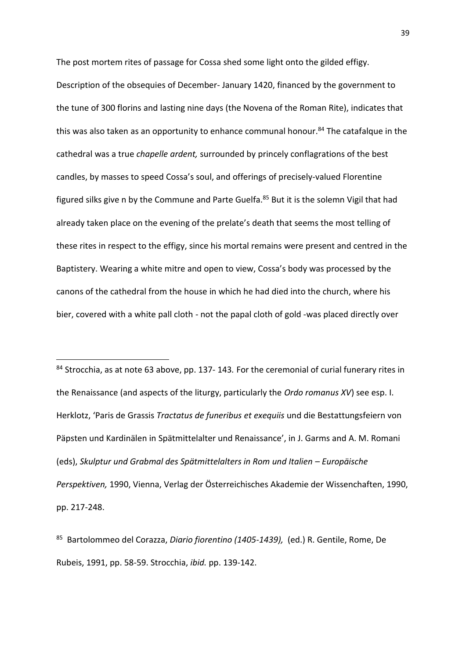The post mortem rites of passage for Cossa shed some light onto the gilded effigy. Description of the obsequies of December- January 1420, financed by the government to the tune of 300 florins and lasting nine days (the Novena of the Roman Rite), indicates that this was also taken as an opportunity to enhance communal honour. <sup>84</sup> The catafalque in the cathedral was a true *chapelle ardent,* surrounded by princely conflagrations of the best candles, by masses to speed Cossa's soul, and offerings of precisely-valued Florentine figured silks give n by the Commune and Parte Guelfa.<sup>85</sup> But it is the solemn Vigil that had already taken place on the evening of the prelate's death that seems the most telling of these rites in respect to the effigy, since his mortal remains were present and centred in the Baptistery. Wearing a white mitre and open to view, Cossa's body was processed by the canons of the cathedral from the house in which he had died into the church, where his bier, covered with a white pall cloth - not the papal cloth of gold -was placed directly over

<sup>84</sup> Strocchia, as at note 63 above, pp. 137- 143*.* For the ceremonial of curial funerary rites in the Renaissance (and aspects of the liturgy, particularly the *Ordo romanus XV*) see esp. I. Herklotz, 'Paris de Grassis *Tractatus de funeribus et exequiis* und die Bestattungsfeiern von Päpsten und Kardinälen in Spätmittelalter und Renaissance', in J. Garms and A. M. Romani (eds), *Skulptur und Grabmal des Spätmittelalters in Rom und Italien – Europäische Perspektiven,* 1990, Vienna, Verlag der Österreichisches Akademie der Wissenchaften, 1990, pp. 217-248.

 $\overline{\phantom{a}}$ 

85 Bartolommeo del Corazza, *Diario fiorentino (1405-1439),* (ed.) R. Gentile, Rome, De Rubeis, 1991, pp. 58-59. Strocchia, *ibid.* pp. 139-142.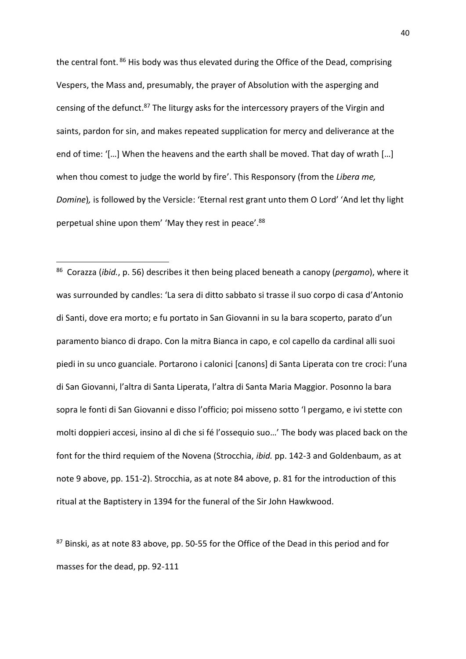the central font.<sup>86</sup> His body was thus elevated during the Office of the Dead, comprising Vespers, the Mass and, presumably, the prayer of Absolution with the asperging and censing of the defunct.<sup>87</sup> The liturgy asks for the intercessory prayers of the Virgin and saints, pardon for sin, and makes repeated supplication for mercy and deliverance at the end of time: '[…] When the heavens and the earth shall be moved. That day of wrath […] when thou comest to judge the world by fire'. This Responsory (from the *Libera me, Domine*)*,* is followed by the Versicle: 'Eternal rest grant unto them O Lord' 'And let thy light perpetual shine upon them' 'May they rest in peace'.<sup>88</sup>

1

86 Corazza (*ibid.*, p. 56) describes it then being placed beneath a canopy (*pergamo*), where it was surrounded by candles: 'La sera di ditto sabbato si trasse il suo corpo di casa d'Antonio di Santi, dove era morto; e fu portato in San Giovanni in su la bara scoperto, parato d'un paramento bianco di drapo. Con la mitra Bianca in capo, e col capello da cardinal alli suoi piedi in su unco guanciale. Portarono i calonici [canons] di Santa Liperata con tre croci: l'una di San Giovanni, l'altra di Santa Liperata, l'altra di Santa Maria Maggior. Posonno la bara sopra le fonti di San Giovanni e disso l'officio; poi misseno sotto 'l pergamo, e ivi stette con molti doppieri accesi, insino al dì che si fé l'ossequio suo…' The body was placed back on the font for the third requiem of the Novena (Strocchia, *ibid.* pp. 142-3 and Goldenbaum, as at note 9 above, pp. 151-2). Strocchia, as at note 84 above, p. 81 for the introduction of this ritual at the Baptistery in 1394 for the funeral of the Sir John Hawkwood.

87 Binski, as at note 83 above, pp. 50-55 for the Office of the Dead in this period and for masses for the dead, pp. 92-111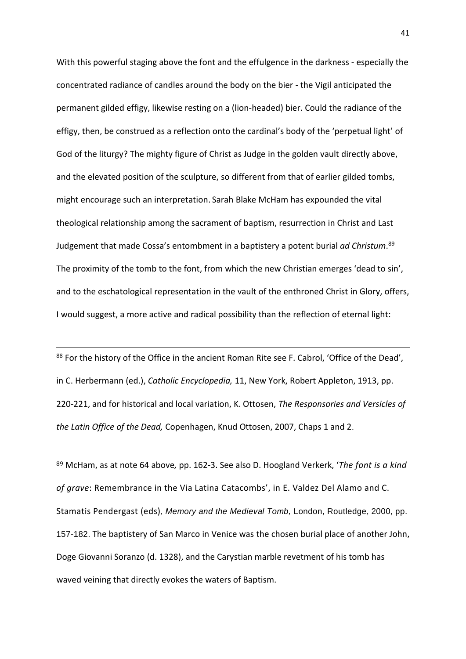With this powerful staging above the font and the effulgence in the darkness - especially the concentrated radiance of candles around the body on the bier - the Vigil anticipated the permanent gilded effigy, likewise resting on a (lion-headed) bier. Could the radiance of the effigy, then, be construed as a reflection onto the cardinal's body of the 'perpetual light' of God of the liturgy? The mighty figure of Christ as Judge in the golden vault directly above, and the elevated position of the sculpture, so different from that of earlier gilded tombs, might encourage such an interpretation. Sarah Blake McHam has expounded the vital theological relationship among the sacrament of baptism, resurrection in Christ and Last Judgement that made Cossa's entombment in a baptistery a potent burial *ad Christum*. 89 The proximity of the tomb to the font, from which the new Christian emerges 'dead to sin', and to the eschatological representation in the vault of the enthroned Christ in Glory, offers, I would suggest, a more active and radical possibility than the reflection of eternal light:

88 For the history of the Office in the ancient Roman Rite see F. Cabrol, 'Office of the Dead', in C. Herbermann (ed.), *Catholic Encyclopedia,* 11, New York, Robert Appleton, 1913, pp. 220-221, and for historical and local variation, K. Ottosen, *The Responsories and Versicles of the Latin Office of the Dead,* Copenhagen, Knud Ottosen, 2007, Chaps 1 and 2.

 $\overline{\phantom{a}}$ 

<sup>89</sup> McHam, as at note 64 above*,* pp. 162-3. See also D. Hoogland Verkerk, '*The font is a kind of grave*: Remembrance in the Via Latina Catacombs', in E. Valdez Del Alamo and C. Stamatis Pendergast (eds)*, Memory and the Medieval Tomb,* London, Routledge, 2000, pp. 157-182. The baptistery of San Marco in Venice was the chosen burial place of another John, Doge Giovanni Soranzo (d. 1328), and the Carystian marble revetment of his tomb has waved veining that directly evokes the waters of Baptism.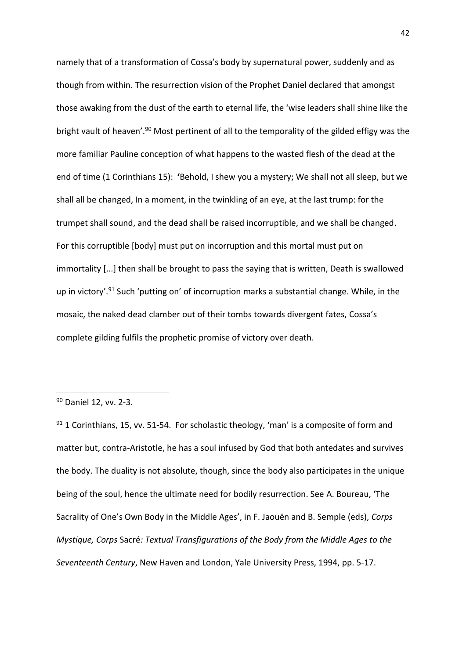namely that of a transformation of Cossa's body by supernatural power, suddenly and as though from within. The resurrection vision of the Prophet Daniel declared that amongst those awaking from the dust of the earth to eternal life, the 'wise leaders shall shine like the bright vault of heaven'.<sup>90</sup> Most pertinent of all to the temporality of the gilded effigy was the more familiar Pauline conception of what happens to the wasted flesh of the dead at the end of time (1 Corinthians 15): **'**Behold, I shew you a mystery; We shall not all sleep, but we shall all be changed, In a moment, in the twinkling of an eye, at the last trump: for the trumpet shall sound, and the dead shall be raised incorruptible, and we shall be changed. For this corruptible [body] must put on incorruption and this mortal must put on immortality [...] then shall be brought to pass the saying that is written, Death is swallowed up in victory'.<sup>91</sup> Such 'putting on' of incorruption marks a substantial change. While, in the mosaic, the naked dead clamber out of their tombs towards divergent fates, Cossa's complete gilding fulfils the prophetic promise of victory over death.

1

 $91$  1 Corinthians, 15, vv. 51-54. For scholastic theology, 'man' is a composite of form and matter but, contra-Aristotle, he has a soul infused by God that both antedates and survives the body. The duality is not absolute, though, since the body also participates in the unique being of the soul, hence the ultimate need for bodily resurrection. See A. Boureau, 'The Sacrality of One's Own Body in the Middle Ages', in F. Jaouën and B. Semple (eds), *Corps Mystique, Corps* Sacré*: Textual Transfigurations of the Body from the Middle Ages to the Seventeenth Century*, New Haven and London, Yale University Press, 1994, pp. 5-17.

<sup>90</sup> Daniel 12, vv. 2-3.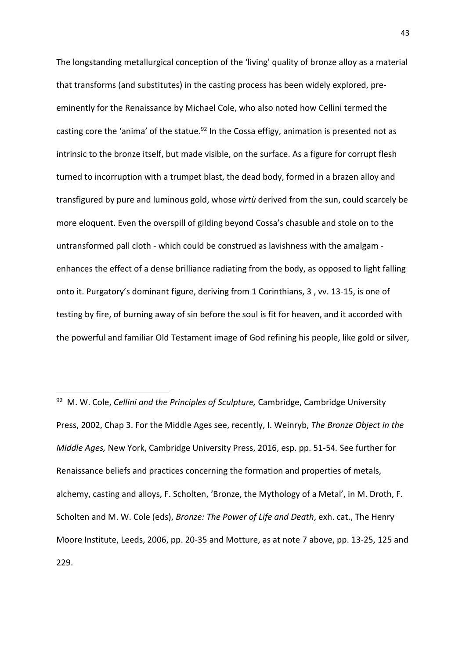The longstanding metallurgical conception of the 'living' quality of bronze alloy as a material that transforms (and substitutes) in the casting process has been widely explored, preeminently for the Renaissance by Michael Cole, who also noted how Cellini termed the casting core the 'anima' of the statue.<sup>92</sup> In the Cossa effigy, animation is presented not as intrinsic to the bronze itself, but made visible, on the surface. As a figure for corrupt flesh turned to incorruption with a trumpet blast, the dead body, formed in a brazen alloy and transfigured by pure and luminous gold, whose *virtù* derived from the sun, could scarcely be more eloquent. Even the overspill of gilding beyond Cossa's chasuble and stole on to the untransformed pall cloth - which could be construed as lavishness with the amalgam enhances the effect of a dense brilliance radiating from the body, as opposed to light falling onto it. Purgatory's dominant figure, deriving from 1 Corinthians, 3 , vv. 13-15, is one of testing by fire, of burning away of sin before the soul is fit for heaven, and it accorded with the powerful and familiar Old Testament image of God refining his people, like gold or silver,

1

<sup>92</sup> M. W. Cole, *Cellini and the Principles of Sculpture,* Cambridge, Cambridge University Press, 2002, Chap 3. For the Middle Ages see, recently, I. Weinryb, *The Bronze Object in the Middle Ages,* New York, Cambridge University Press, 2016, esp. pp. 51-54*.* See further for Renaissance beliefs and practices concerning the formation and properties of metals, alchemy, casting and alloys, F. Scholten, 'Bronze, the Mythology of a Metal', in M. Droth, F. Scholten and M. W. Cole (eds), *Bronze: The Power of Life and Death*, exh. cat., The Henry Moore Institute, Leeds, 2006, pp. 20-35 and Motture, as at note 7 above, pp. 13-25, 125 and 229.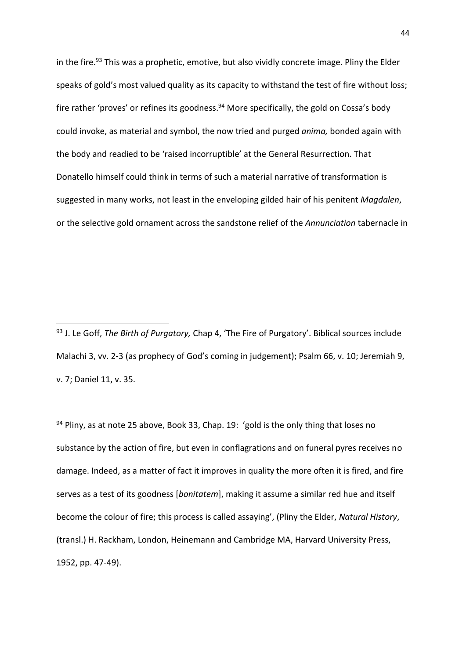in the fire.<sup>93</sup> This was a prophetic, emotive, but also vividly concrete image. Pliny the Elder speaks of gold's most valued quality as its capacity to withstand the test of fire without loss; fire rather 'proves' or refines its goodness.<sup>94</sup> More specifically, the gold on Cossa's body could invoke, as material and symbol, the now tried and purged *anima,* bonded again with the body and readied to be 'raised incorruptible' at the General Resurrection. That Donatello himself could think in terms of such a material narrative of transformation is suggested in many works, not least in the enveloping gilded hair of his penitent *Magdalen*, or the selective gold ornament across the sandstone relief of the *Annunciation* tabernacle in

**.** 

 $94$  Pliny, as at note 25 above, Book 33, Chap. 19: 'gold is the only thing that loses no substance by the action of fire, but even in conflagrations and on funeral pyres receives no damage. Indeed, as a matter of fact it improves in quality the more often it is fired, and fire serves as a test of its goodness [*bonitatem*], making it assume a similar red hue and itself become the colour of fire; this process is called assaying', (Pliny the Elder, *Natural History*, (transl.) H. Rackham, London, Heinemann and Cambridge MA, Harvard University Press, 1952, pp. 47-49).

<sup>93</sup> J. Le Goff, *The Birth of Purgatory,* Chap 4, 'The Fire of Purgatory'. Biblical sources include Malachi 3, vv. 2-3 (as prophecy of God's coming in judgement); Psalm 66, v. 10; Jeremiah 9, v. 7; Daniel 11, v. 35.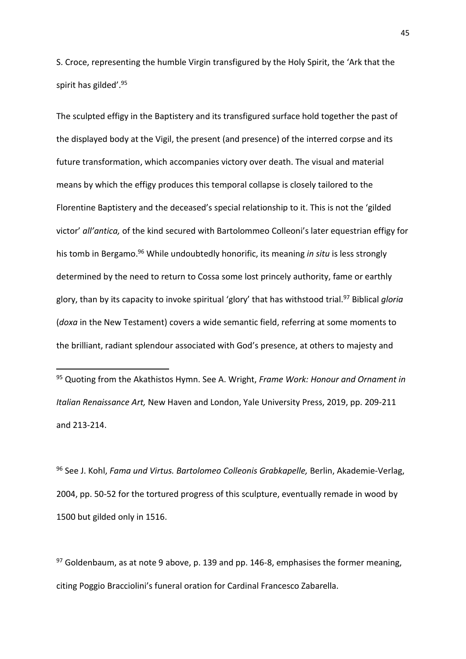S. Croce, representing the humble Virgin transfigured by the Holy Spirit, the 'Ark that the spirit has gilded'. 95

The sculpted effigy in the Baptistery and its transfigured surface hold together the past of the displayed body at the Vigil, the present (and presence) of the interred corpse and its future transformation, which accompanies victory over death. The visual and material means by which the effigy produces this temporal collapse is closely tailored to the Florentine Baptistery and the deceased's special relationship to it. This is not the 'gilded victor' *all'antica,* of the kind secured with Bartolommeo Colleoni's later equestrian effigy for his tomb in Bergamo. <sup>96</sup> While undoubtedly honorific, its meaning *in situ* is less strongly determined by the need to return to Cossa some lost princely authority, fame or earthly glory, than by its capacity to invoke spiritual 'glory' that has withstood trial. <sup>97</sup> Biblical *gloria* (*doxa* in the New Testament) covers a wide semantic field, referring at some moments to the brilliant, radiant splendour associated with God's presence, at others to majesty and

<sup>95</sup> Quoting from the Akathistos Hymn. See A. Wright, *Frame Work: Honour and Ornament in Italian Renaissance Art,* New Haven and London, Yale University Press, 2019, pp. 209-211 and 213-214.

**.** 

<sup>96</sup> See J. Kohl, *Fama und Virtus. Bartolomeo Colleonis Grabkapelle,* Berlin, Akademie-Verlag, 2004, pp. 50-52 for the tortured progress of this sculpture, eventually remade in wood by 1500 but gilded only in 1516.

 $97$  Goldenbaum, as at note 9 above, p. 139 and pp. 146-8, emphasises the former meaning, citing Poggio Bracciolini's funeral oration for Cardinal Francesco Zabarella.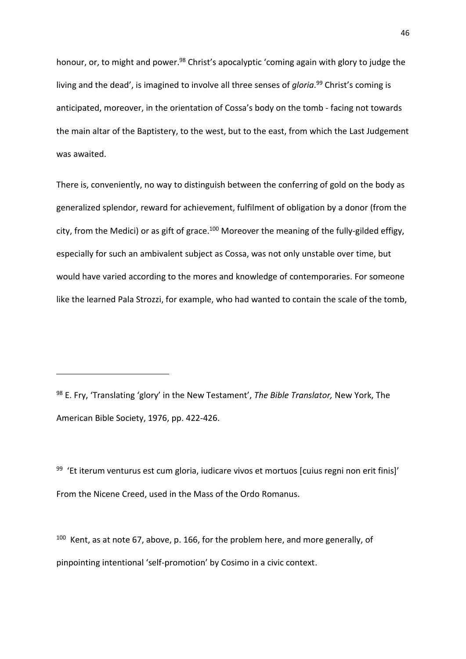honour, or, to might and power.<sup>98</sup> Christ's apocalyptic 'coming again with glory to judge the living and the dead', is imagined to involve all three senses of *gloria*. <sup>99</sup> Christ's coming is anticipated, moreover, in the orientation of Cossa's body on the tomb - facing not towards the main altar of the Baptistery, to the west, but to the east, from which the Last Judgement was awaited.

There is, conveniently, no way to distinguish between the conferring of gold on the body as generalized splendor, reward for achievement, fulfilment of obligation by a donor (from the city, from the Medici) or as gift of grace.<sup>100</sup> Moreover the meaning of the fully-gilded effigy, especially for such an ambivalent subject as Cossa, was not only unstable over time, but would have varied according to the mores and knowledge of contemporaries. For someone like the learned Pala Strozzi, for example, who had wanted to contain the scale of the tomb,

<sup>98</sup> E. Fry, 'Translating 'glory' in the New Testament', *The Bible Translator,* New York, The American Bible Society, 1976, pp. 422-426.

**.** 

<sup>99</sup> 'Et iterum venturus est cum gloria, iudicare vivos et mortuos [cuius regni non erit finis]' From the Nicene Creed, used in the Mass of the Ordo Romanus.

 $100$  Kent, as at note 67, above, p. 166, for the problem here, and more generally, of pinpointing intentional 'self-promotion' by Cosimo in a civic context.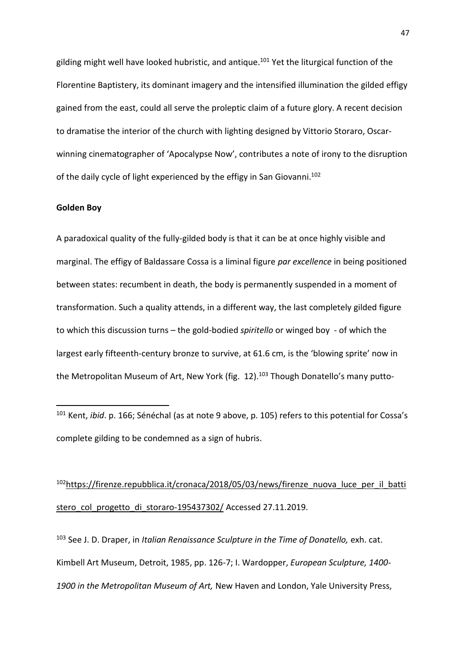gilding might well have looked hubristic, and antique. <sup>101</sup> Yet the liturgical function of the Florentine Baptistery, its dominant imagery and the intensified illumination the gilded effigy gained from the east, could all serve the proleptic claim of a future glory. A recent decision to dramatise the interior of the church with lighting designed by Vittorio Storaro, Oscarwinning cinematographer of 'Apocalypse Now', contributes a note of irony to the disruption of the daily cycle of light experienced by the effigy in San Giovanni.<sup>102</sup>

### **Golden Boy**

**.** 

A paradoxical quality of the fully-gilded body is that it can be at once highly visible and marginal. The effigy of Baldassare Cossa is a liminal figure *par excellence* in being positioned between states: recumbent in death, the body is permanently suspended in a moment of transformation. Such a quality attends, in a different way, the last completely gilded figure to which this discussion turns – the gold-bodied *spiritello* or winged boy - of which the largest early fifteenth-century bronze to survive, at 61.6 cm, is the 'blowing sprite' now in the Metropolitan Museum of Art, New York (fig. 12).<sup>103</sup> Though Donatello's many putto-

<sup>101</sup> Kent, *ibid*. p. 166; Sénéchal (as at note 9 above, p. 105) refers to this potential for Cossa's complete gilding to be condemned as a sign of hubris.

<sup>102</sup>[https://firenze.repubblica.it/cronaca/2018/05/03/news/firenze\\_nuova\\_luce\\_per\\_il\\_batti](https://firenze.repubblica.it/cronaca/2018/05/03/news/firenze_nuova_luce_per_il_battistero_col_progetto_di_storaro-195437302/) stero col progetto di storaro-195437302/ Accessed 27.11.2019.

<sup>103</sup> See J. D. Draper, in *Italian Renaissance Sculpture in the Time of Donatello, exh. cat.* Kimbell Art Museum, Detroit, 1985, pp. 126-7; I. Wardopper, *European Sculpture, 1400- 1900 in the Metropolitan Museum of Art,* New Haven and London, Yale University Press,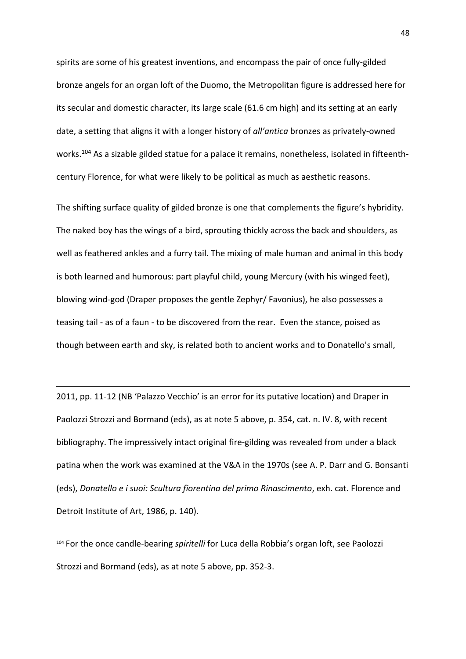spirits are some of his greatest inventions, and encompass the pair of once fully-gilded bronze angels for an organ loft of the Duomo, the Metropolitan figure is addressed here for its secular and domestic character, its large scale (61.6 cm high) and its setting at an early date, a setting that aligns it with a longer history of *all'antica* bronzes as privately-owned works.<sup>104</sup> As a sizable gilded statue for a palace it remains, nonetheless, isolated in fifteenthcentury Florence, for what were likely to be political as much as aesthetic reasons.

The shifting surface quality of gilded bronze is one that complements the figure's hybridity. The naked boy has the wings of a bird, sprouting thickly across the back and shoulders, as well as feathered ankles and a furry tail. The mixing of male human and animal in this body is both learned and humorous: part playful child, young Mercury (with his winged feet), blowing wind-god (Draper proposes the gentle Zephyr/ Favonius), he also possesses a teasing tail - as of a faun - to be discovered from the rear. Even the stance, poised as though between earth and sky, is related both to ancient works and to Donatello's small,

2011, pp. 11-12 (NB 'Palazzo Vecchio' is an error for its putative location) and Draper in Paolozzi Strozzi and Bormand (eds), as at note 5 above, p. 354, cat. n. IV. 8, with recent bibliography. The impressively intact original fire-gilding was revealed from under a black patina when the work was examined at the V&A in the 1970s (see A. P. Darr and G. Bonsanti (eds), *Donatello e i suoi: Scultura fiorentina del primo Rinascimento*, exh. cat. Florence and Detroit Institute of Art, 1986, p. 140).

**.** 

<sup>104</sup> For the once candle-bearing *spiritelli* for Luca della Robbia's organ loft, see Paolozzi Strozzi and Bormand (eds), as at note 5 above, pp. 352-3.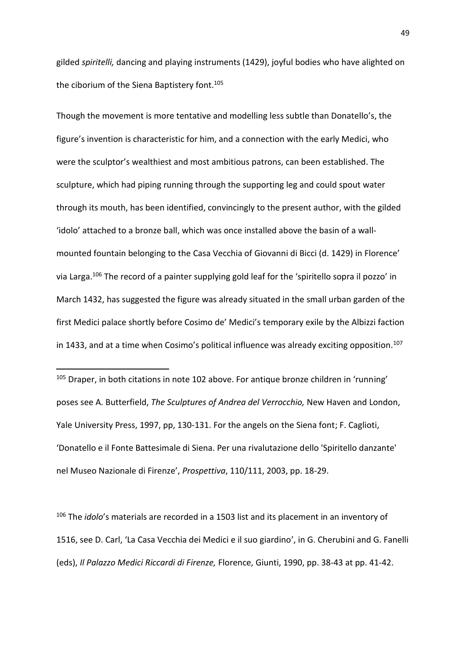gilded *spiritelli,* dancing and playing instruments (1429), joyful bodies who have alighted on the ciborium of the Siena Baptistery font. 105

Though the movement is more tentative and modelling less subtle than Donatello's, the figure's invention is characteristic for him, and a connection with the early Medici, who were the sculptor's wealthiest and most ambitious patrons, can been established. The sculpture, which had piping running through the supporting leg and could spout water through its mouth, has been identified, convincingly to the present author, with the gilded 'idolo' attached to a bronze ball, which was once installed above the basin of a wallmounted fountain belonging to the Casa Vecchia of Giovanni di Bicci (d. 1429) in Florence' via Larga.<sup>106</sup> The record of a painter supplying gold leaf for the 'spiritello sopra il pozzo' in March 1432, has suggested the figure was already situated in the small urban garden of the first Medici palace shortly before Cosimo de' Medici's temporary exile by the Albizzi faction in 1433, and at a time when Cosimo's political influence was already exciting opposition.<sup>107</sup>

 $105$  Draper, in both citations in note 102 above. For antique bronze children in 'running' poses see A. Butterfield, *The Sculptures of Andrea del Verrocchio,* New Haven and London, Yale University Press, 1997, pp, 130-131. For the angels on the Siena font; F. Caglioti, 'Donatello e il Fonte Battesimale di Siena. Per una rivalutazione dello 'Spiritello danzante' nel Museo Nazionale di Firenze', *Prospettiva*, 110/111, 2003, pp. 18-29.

**.** 

<sup>106</sup> The *idolo*'s materials are recorded in a 1503 list and its placement in an inventory of 1516, see D. Carl, 'La Casa Vecchia dei Medici e il suo giardino', in G. Cherubini and G. Fanelli (eds), *Il Palazzo Medici Riccardi di Firenze,* Florence, Giunti, 1990, pp. 38-43 at pp. 41-42.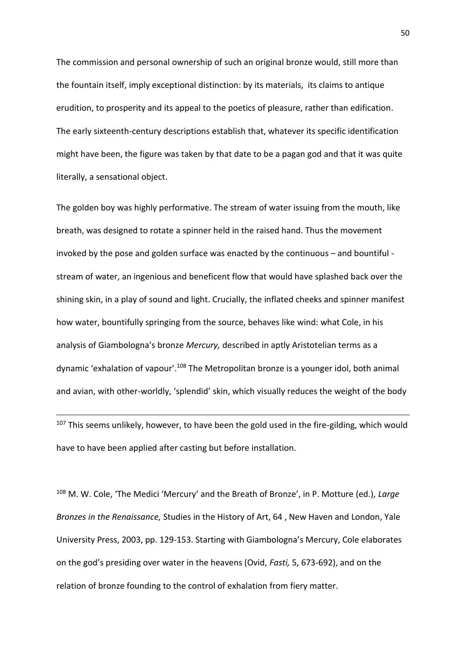The commission and personal ownership of such an original bronze would, still more than the fountain itself, imply exceptional distinction: by its materials, its claims to antique erudition, to prosperity and its appeal to the poetics of pleasure, rather than edification. The early sixteenth-century descriptions establish that, whatever its specific identification might have been, the figure was taken by that date to be a pagan god and that it was quite literally, a sensational object.

The golden boy was highly performative. The stream of water issuing from the mouth, like breath, was designed to rotate a spinner held in the raised hand. Thus the movement invoked by the pose and golden surface was enacted by the continuous – and bountiful stream of water, an ingenious and beneficent flow that would have splashed back over the shining skin, in a play of sound and light. Crucially, the inflated cheeks and spinner manifest how water, bountifully springing from the source, behaves like wind: what Cole, in his analysis of Giambologna's bronze *Mercury,* described in aptly Aristotelian terms as a dynamic 'exhalation of vapour'.<sup>108</sup> The Metropolitan bronze is a younger idol, both animal and avian, with other-worldly, 'splendid' skin, which visually reduces the weight of the body

<sup>107</sup> This seems unlikely, however, to have been the gold used in the fire-gilding, which would have to have been applied after casting but before installation.

 $\overline{\phantom{a}}$ 

<sup>108</sup> M. W. Cole, 'The Medici 'Mercury' and the Breath of Bronze', in P. Motture (ed.), *Large Bronzes in the Renaissance,* Studies in the History of Art, 64 , New Haven and London, Yale University Press, 2003, pp. 129-153. Starting with Giambologna's Mercury, Cole elaborates on the god's presiding over water in the heavens (Ovid, *Fasti,* 5, 673-692), and on the relation of bronze founding to the control of exhalation from fiery matter.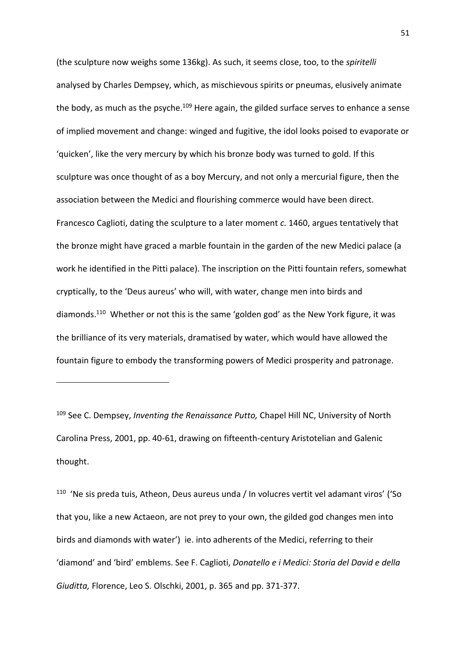(the sculpture now weighs some 136kg). As such, it seems close, too, to the *spiritelli* analysed by Charles Dempsey, which, as mischievous spirits or pneumas, elusively animate the body, as much as the psyche.<sup>109</sup> Here again, the gilded surface serves to enhance a sense of implied movement and change: winged and fugitive, the idol looks poised to evaporate or 'quicken', like the very mercury by which his bronze body was turned to gold. If this sculpture was once thought of as a boy Mercury, and not only a mercurial figure, then the association between the Medici and flourishing commerce would have been direct. Francesco Caglioti, dating the sculpture to a later moment *c.* 1460, argues tentatively that the bronze might have graced a marble fountain in the garden of the new Medici palace (a work he identified in the Pitti palace). The inscription on the Pitti fountain refers, somewhat cryptically, to the 'Deus aureus' who will, with water, change men into birds and diamonds.<sup>110</sup> Whether or not this is the same 'golden god' as the New York figure, it was the brilliance of its very materials, dramatised by water, which would have allowed the fountain figure to embody the transforming powers of Medici prosperity and patronage.

<sup>109</sup> See C. Dempsey, *Inventing the Renaissance Putto,* Chapel Hill NC, University of North Carolina Press, 2001, pp. 40-61, drawing on fifteenth-century Aristotelian and Galenic thought.

**.** 

<sup>110</sup> 'Ne sis preda tuis, Atheon, Deus aureus unda / In volucres vertit vel adamant viros' ('So that you, like a new Actaeon, are not prey to your own, the gilded god changes men into birds and diamonds with water') ie. into adherents of the Medici, referring to their 'diamond' and 'bird' emblems. See F. Caglioti, *Donatello e i Medici: Storia del David e della Giuditta,* Florence, Leo S. Olschki, 2001, p. 365 and pp. 371-377.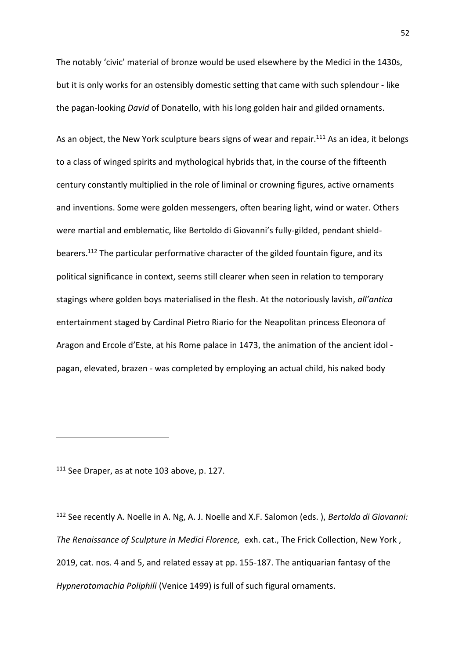The notably 'civic' material of bronze would be used elsewhere by the Medici in the 1430s, but it is only works for an ostensibly domestic setting that came with such splendour - like the pagan-looking *David* of Donatello, with his long golden hair and gilded ornaments.

As an object, the New York sculpture bears signs of wear and repair.<sup>111</sup> As an idea, it belongs to a class of winged spirits and mythological hybrids that, in the course of the fifteenth century constantly multiplied in the role of liminal or crowning figures, active ornaments and inventions. Some were golden messengers, often bearing light, wind or water. Others were martial and emblematic, like Bertoldo di Giovanni's fully-gilded, pendant shieldbearers. <sup>112</sup> The particular performative character of the gilded fountain figure, and its political significance in context, seems still clearer when seen in relation to temporary stagings where golden boys materialised in the flesh. At the notoriously lavish, *all'antica* entertainment staged by Cardinal Pietro Riario for the Neapolitan princess Eleonora of Aragon and Ercole d'Este, at his Rome palace in 1473, the animation of the ancient idol pagan, elevated, brazen - was completed by employing an actual child, his naked body

<sup>111</sup> See Draper, as at note 103 above, p. 127.

 $\overline{\phantom{a}}$ 

<sup>112</sup> See recently A. Noelle in A. Ng, A. J. Noelle and X.F. Salomon (eds. ), *Bertoldo di Giovanni: The Renaissance of Sculpture in Medici Florence,* exh. cat., The Frick Collection, New York , 2019, cat. nos. 4 and 5, and related essay at pp. 155-187. The antiquarian fantasy of the *Hypnerotomachia Poliphili* (Venice 1499) is full of such figural ornaments.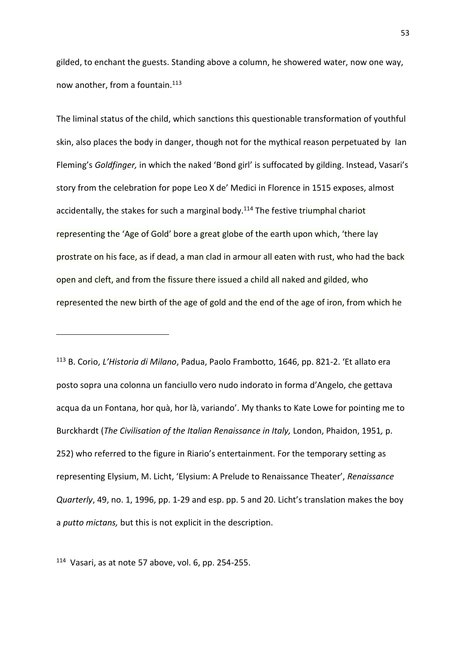gilded, to enchant the guests. Standing above a column, he showered water, now one way, now another, from a fountain.<sup>113</sup>

The liminal status of the child, which sanctions this questionable transformation of youthful skin, also places the body in danger, though not for the mythical reason perpetuated by Ian Fleming's *Goldfinger,* in which the naked 'Bond girl' is suffocated by gilding. Instead, Vasari's story from the celebration for pope Leo X de' Medici in Florence in 1515 exposes, almost accidentally, the stakes for such a marginal body. $114$  The festive triumphal chariot representing the 'Age of Gold' bore a great globe of the earth upon which, 'there lay prostrate on his face, as if dead, a man clad in armour all eaten with rust, who had the back open and cleft, and from the fissure there issued a child all naked and gilded, who represented the new birth of the age of gold and the end of the age of iron, from which he

<sup>113</sup> B. Corio, *L'Historia di Milano*, Padua, Paolo Frambotto, 1646, pp. 821-2. 'Et allato era posto sopra una colonna un fanciullo vero nudo indorato in forma d'Angelo, che gettava acqua da un Fontana, hor quà, hor là, variando'. My thanks to Kate Lowe for pointing me to Burckhardt (*The Civilisation of the Italian Renaissance in Italy,* London, Phaidon, 1951*,* p. 252) who referred to the figure in Riario's entertainment. For the temporary setting as representing Elysium, M. Licht, 'Elysium: A Prelude to Renaissance Theater', *Renaissance Quarterly*, 49, no. 1, 1996, pp. 1-29 and esp. pp. 5 and 20. Licht's translation makes the boy a *putto mictans,* but this is not explicit in the description.

114 Vasari, as at note 57 above, vol. 6, pp. 254-255.

**.**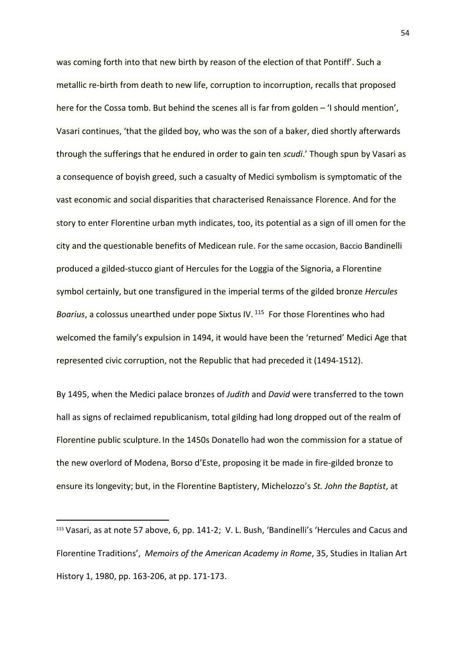was coming forth into that new birth by reason of the election of that Pontiff'. Such a metallic re-birth from death to new life, corruption to incorruption, recalls that proposed here for the Cossa tomb. But behind the scenes all is far from golden - 'I should mention', Vasari continues, 'that the gilded boy, who was the son of a baker, died shortly afterwards through the sufferings that he endured in order to gain ten *scudi*.' Though spun by Vasari as a consequence of boyish greed, such a casualty of Medici symbolism is symptomatic of the vast economic and social disparities that characterised Renaissance Florence. And for the story to enter Florentine urban myth indicates, too, its potential as a sign of ill omen for the city and the questionable benefits of Medicean rule. For the same occasion, Baccio Bandinelli produced a gilded-stucco giant of Hercules for the Loggia of the Signoria, a Florentine symbol certainly, but one transfigured in the imperial terms of the gilded bronze *Hercules Boarius*, a colossus unearthed under pope Sixtus IV. <sup>115</sup> For those Florentines who had welcomed the family's expulsion in 1494, it would have been the 'returned' Medici Age that represented civic corruption, not the Republic that had preceded it (1494-1512).

By 1495, when the Medici palace bronzes of *Judith* and *David* were transferred to the town hall as signs of reclaimed republicanism, total gilding had long dropped out of the realm of Florentine public sculpture. In the 1450s Donatello had won the commission for a statue of the new overlord of Modena, Borso d'Este, proposing it be made in fire-gilded bronze to ensure its longevity; but, in the Florentine Baptistery, Michelozzo's *St. John the Baptist*, at

**.** 

<sup>115</sup> Vasari, as at note 57 above, 6, pp. 141-2;V. L. Bush, 'Bandinelli's 'Hercules and Cacus and Florentine Traditions', *Memoirs of the American Academy in Rome*, 35, Studies in Italian Art History 1, 1980, pp. 163-206, at pp. 171-173.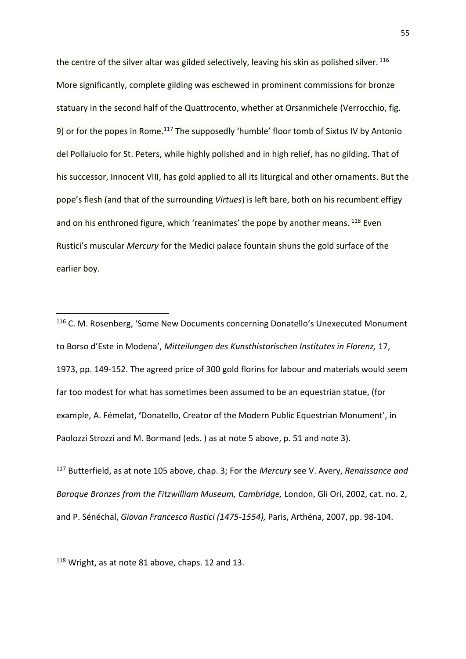the centre of the silver altar was gilded selectively, leaving his skin as polished silver. 116 More significantly, complete gilding was eschewed in prominent commissions for bronze statuary in the second half of the Quattrocento, whether at Orsanmichele (Verrocchio, fig. 9) or for the popes in Rome.<sup>117</sup> The supposedly 'humble' floor tomb of Sixtus IV by Antonio del Pollaiuolo for St. Peters, while highly polished and in high relief, has no gilding. That of his successor, Innocent VIII, has gold applied to all its liturgical and other ornaments. But the pope's flesh (and that of the surrounding *Virtues*) is left bare, both on his recumbent effigy and on his enthroned figure, which 'reanimates' the pope by another means. <sup>118</sup> Even Rustici's muscular *Mercury* for the Medici palace fountain shuns the gold surface of the earlier boy.

<sup>117</sup> Butterfield, as at note 105 above, chap. 3; For the *Mercury* see V. Avery, *Renaissance and Baroque Bronzes from the Fitzwilliam Museum, Cambridge,* London, Gli Ori, 2002, cat. no. 2, and P. Sénéchal, *Giovan Francesco Rustici (1475-1554),* Paris, Arthéna, 2007, pp. 98-104.

<sup>118</sup> Wright, as at note 81 above, chaps. 12 and 13.

1

<sup>&</sup>lt;sup>116</sup> C. M. Rosenberg, 'Some New Documents concerning Donatello's Unexecuted Monument to Borso d'Este in Modena', *Mitteilungen des Kunsthistorischen Institutes in Florenz,* 17, 1973, pp. 149-152. The agreed price of 300 gold florins for labour and materials would seem far too modest for what has sometimes been assumed to be an equestrian statue, (for example, A. Fémelat, **'**Donatello, Creator of the Modern Public Equestrian Monument', in Paolozzi Strozzi and M. Bormand (eds. ) as at note 5 above, p. 51 and note 3).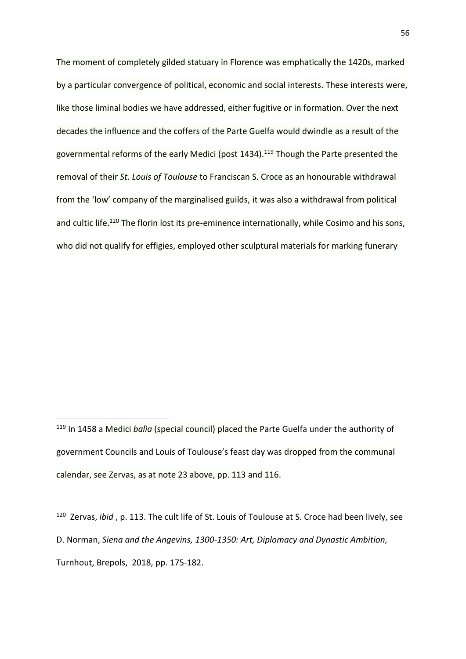The moment of completely gilded statuary in Florence was emphatically the 1420s, marked by a particular convergence of political, economic and social interests. These interests were, like those liminal bodies we have addressed, either fugitive or in formation. Over the next decades the influence and the coffers of the Parte Guelfa would dwindle as a result of the governmental reforms of the early Medici (post 1434).<sup>119</sup> Though the Parte presented the removal of their *St. Louis of Toulouse* to Franciscan S. Croce as an honourable withdrawal from the 'low' company of the marginalised guilds, it was also a withdrawal from political and cultic life.<sup>120</sup> The florin lost its pre-eminence internationally, while Cosimo and his sons, who did not qualify for effigies, employed other sculptural materials for marking funerary

1

120 Zervas, *ibid* , p. 113. The cult life of St. Louis of Toulouse at S. Croce had been lively, see D. Norman, *Siena and the Angevins, 1300-1350: Art, Diplomacy and Dynastic Ambition,*  Turnhout, Brepols, 2018, pp. 175-182.

<sup>119</sup> In 1458 a Medici *balìa* (special council) placed the Parte Guelfa under the authority of government Councils and Louis of Toulouse's feast day was dropped from the communal calendar, see Zervas, as at note 23 above, pp. 113 and 116.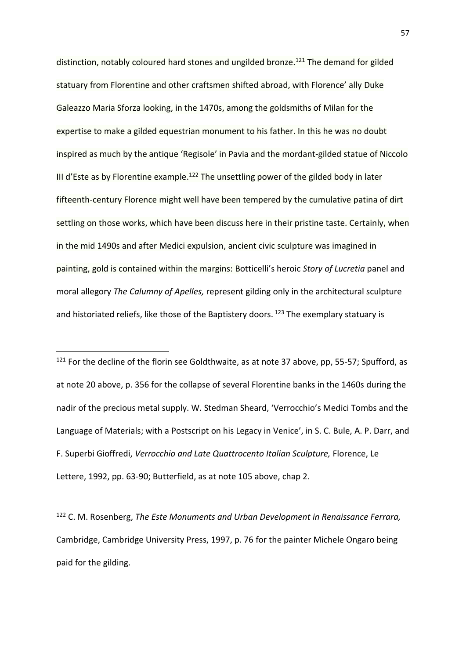distinction, notably coloured hard stones and ungilded bronze.<sup>121</sup> The demand for gilded statuary from Florentine and other craftsmen shifted abroad, with Florence' ally Duke Galeazzo Maria Sforza looking, in the 1470s, among the goldsmiths of Milan for the expertise to make a gilded equestrian monument to his father. In this he was no doubt inspired as much by the antique 'Regisole' in Pavia and the mordant-gilded statue of Niccolo III d'Este as by Florentine example.<sup>122</sup> The unsettling power of the gilded body in later fifteenth-century Florence might well have been tempered by the cumulative patina of dirt settling on those works, which have been discuss here in their pristine taste. Certainly, when in the mid 1490s and after Medici expulsion, ancient civic sculpture was imagined in painting, gold is contained within the margins: Botticelli's heroic *Story of Lucretia* panel and moral allegory *The Calumny of Apelles,* represent gilding only in the architectural sculpture and historiated reliefs, like those of the Baptistery doors.  $123$  The exemplary statuary is

 $121$  For the decline of the florin see Goldthwaite, as at note 37 above, pp, 55-57; Spufford, as at note 20 above, p. 356 for the collapse of several Florentine banks in the 1460s during the nadir of the precious metal supply. W. Stedman Sheard, 'Verrocchio's Medici Tombs and the Language of Materials; with a Postscript on his Legacy in Venice', in S. C. Bule, A. P. Darr, and F. Superbi Gioffredi, *Verrocchio and Late Quattrocento Italian Sculpture,* Florence, Le Lettere, 1992, pp. 63-90; Butterfield, as at note 105 above, chap 2.

**.** 

<sup>122</sup> C. M. Rosenberg, *The Este Monuments and Urban Development in Renaissance Ferrara,*  Cambridge, Cambridge University Press, 1997, p. 76 for the painter Michele Ongaro being paid for the gilding.